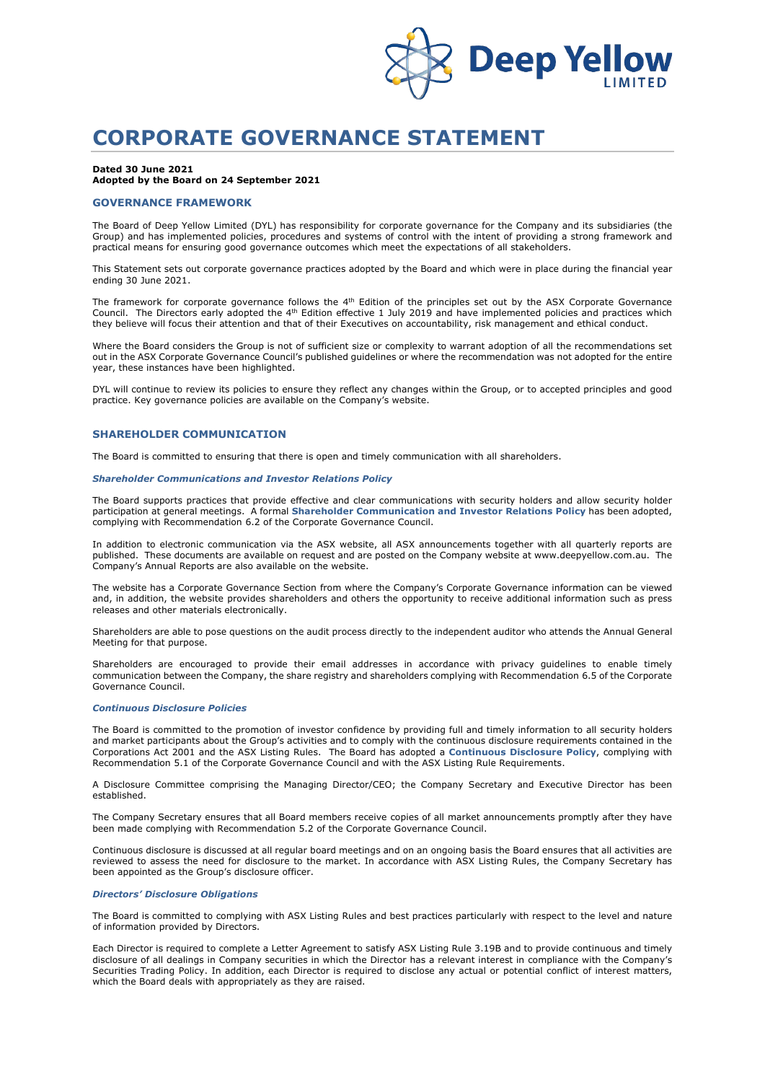

# **CORPORATE GOVERNANCE STATEMENT**

#### **Dated 30 June 2021**

## **Adopted by the Board on 24 September 2021**

## **GOVERNANCE FRAMEWORK**

The Board of Deep Yellow Limited (DYL) has responsibility for corporate governance for the Company and its subsidiaries (the Group) and has implemented policies, procedures and systems of control with the intent of providing a strong framework and practical means for ensuring good governance outcomes which meet the expectations of all stakeholders.

This Statement sets out corporate governance practices adopted by the Board and which were in place during the financial year ending 30 June 2021.

The framework for corporate governance follows the 4<sup>th</sup> Edition of the principles set out by the ASX Corporate Governance Council. The Directors early adopted the 4<sup>th</sup> Edition effective 1 July 2019 and have implemented policies and practices which they believe will focus their attention and that of their Executives on accountability, risk management and ethical conduct.

Where the Board considers the Group is not of sufficient size or complexity to warrant adoption of all the recommendations set out in the ASX Corporate Governance Council's published guidelines or where the recommendation was not adopted for the entire year, these instances have been highlighted.

DYL will continue to review its policies to ensure they reflect any changes within the Group, or to accepted principles and good practice. Key governance policies are available on the Company's website.

## **SHAREHOLDER COMMUNICATION**

The Board is committed to ensuring that there is open and timely communication with all shareholders.

#### *Shareholder Communications and Investor Relations Policy*

The Board supports practices that provide effective and clear communications with security holders and allow security holder participation at general meetings. A formal **Shareholder Communication and Investor Relations Policy** has been adopted, complying with Recommendation 6.2 of the Corporate Governance Council.

In addition to electronic communication via the ASX website, all ASX announcements together with all quarterly reports are published. These documents are available on request and are posted on the Company website at www.deepyellow.com.au. The Company's Annual Reports are also available on the website.

The website has a Corporate Governance Section from where the Company's Corporate Governance information can be viewed and, in addition, the website provides shareholders and others the opportunity to receive additional information such as press releases and other materials electronically.

Shareholders are able to pose questions on the audit process directly to the independent auditor who attends the Annual General Meeting for that purpose.

Shareholders are encouraged to provide their email addresses in accordance with privacy guidelines to enable timely communication between the Company, the share registry and shareholders complying with Recommendation 6.5 of the Corporate Governance Council.

## *Continuous Disclosure Policies*

The Board is committed to the promotion of investor confidence by providing full and timely information to all security holders and market participants about the Group's activities and to comply with the continuous disclosure requirements contained in the Corporations Act 2001 and the ASX Listing Rules. The Board has adopted a **Continuous Disclosure Policy**, complying with Recommendation 5.1 of the Corporate Governance Council and with the ASX Listing Rule Requirements.

A Disclosure Committee comprising the Managing Director/CEO; the Company Secretary and Executive Director has been established.

The Company Secretary ensures that all Board members receive copies of all market announcements promptly after they have been made complying with Recommendation 5.2 of the Corporate Governance Council.

Continuous disclosure is discussed at all regular board meetings and on an ongoing basis the Board ensures that all activities are reviewed to assess the need for disclosure to the market. In accordance with ASX Listing Rules, the Company Secretary has been appointed as the Group's disclosure officer.

## *Directors' Disclosure Obligations*

The Board is committed to complying with ASX Listing Rules and best practices particularly with respect to the level and nature of information provided by Directors.

Each Director is required to complete a Letter Agreement to satisfy ASX Listing Rule 3.19B and to provide continuous and timely disclosure of all dealings in Company securities in which the Director has a relevant interest in compliance with the Company's Securities Trading Policy. In addition, each Director is required to disclose any actual or potential conflict of interest matters, which the Board deals with appropriately as they are raised.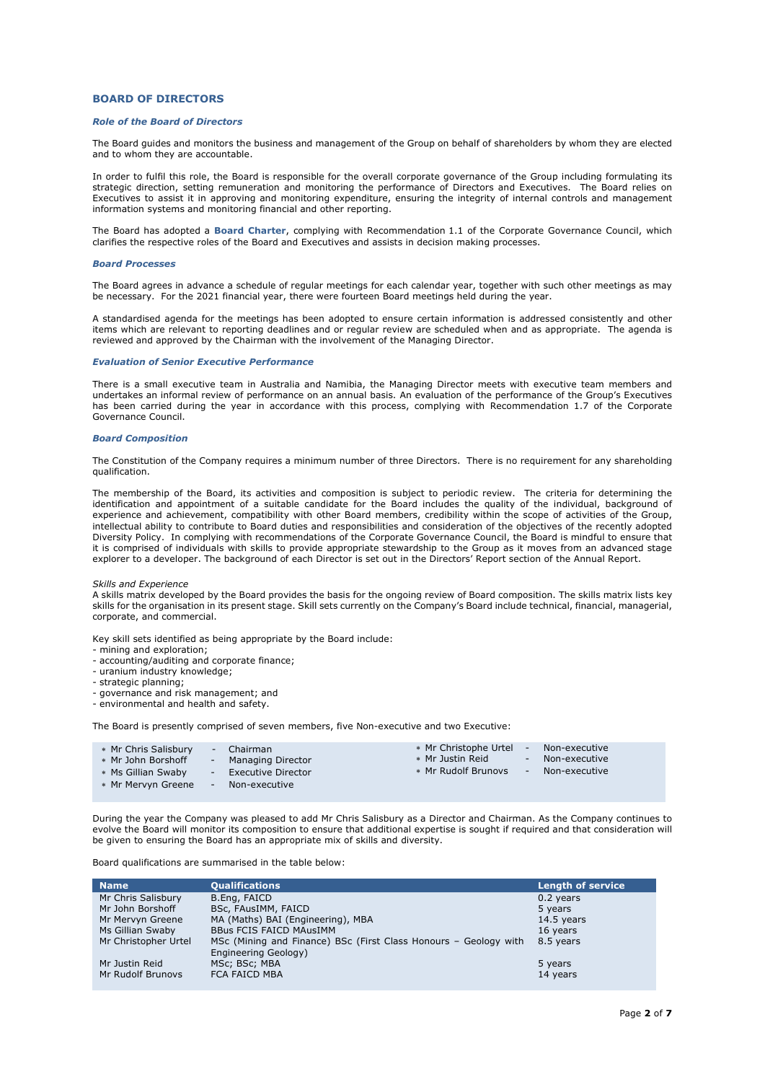## **BOARD OF DIRECTORS**

#### *Role of the Board of Directors*

The Board guides and monitors the business and management of the Group on behalf of shareholders by whom they are elected and to whom they are accountable.

In order to fulfil this role, the Board is responsible for the overall corporate governance of the Group including formulating its strategic direction, setting remuneration and monitoring the performance of Directors and Executives. The Board relies on Executives to assist it in approving and monitoring expenditure, ensuring the integrity of internal controls and management information systems and monitoring financial and other reporting.

The Board has adopted a **Board Charter**, complying with Recommendation 1.1 of the Corporate Governance Council, which clarifies the respective roles of the Board and Executives and assists in decision making processes.

#### *Board Processes*

The Board agrees in advance a schedule of regular meetings for each calendar year, together with such other meetings as may be necessary. For the 2021 financial year, there were fourteen Board meetings held during the year.

A standardised agenda for the meetings has been adopted to ensure certain information is addressed consistently and other items which are relevant to reporting deadlines and or regular review are scheduled when and as appropriate. The agenda is reviewed and approved by the Chairman with the involvement of the Managing Director.

#### *Evaluation of Senior Executive Performance*

There is a small executive team in Australia and Namibia, the Managing Director meets with executive team members and undertakes an informal review of performance on an annual basis. An evaluation of the performance of the Group's Executives has been carried during the year in accordance with this process, complying with Recommendation 1.7 of the Corporate Governance Council.

#### *Board Composition*

The Constitution of the Company requires a minimum number of three Directors. There is no requirement for any shareholding qualification.

The membership of the Board, its activities and composition is subject to periodic review. The criteria for determining the identification and appointment of a suitable candidate for the Board includes the quality of the individual, background of experience and achievement, compatibility with other Board members, credibility within the scope of activities of the Group, intellectual ability to contribute to Board duties and responsibilities and consideration of the objectives of the recently adopted Diversity Policy. In complying with recommendations of the Corporate Governance Council, the Board is mindful to ensure that it is comprised of individuals with skills to provide appropriate stewardship to the Group as it moves from an advanced stage explorer to a developer. The background of each Director is set out in the Directors' Report section of the Annual Report.

#### *Skills and Experience*

A skills matrix developed by the Board provides the basis for the ongoing review of Board composition. The skills matrix lists key skills for the organisation in its present stage. Skill sets currently on the Company's Board include technical, financial, managerial, corporate, and commercial.

Key skill sets identified as being appropriate by the Board include:

- mining and exploration;
- accounting/auditing and corporate finance;
- uranium industry knowledge;
- strategic planning;
- governance and risk management; and
- environmental and health and safety.

The Board is presently comprised of seven members, five Non-executive and two Executive:

| * Mr Chris Salisbury<br>Chairman<br>$\overline{\phantom{a}}$<br>* Mr John Borshoff<br>Managing Director<br>$\sim$<br>* Ms Gillian Swaby<br><b>Executive Director</b><br>$\sim$<br>* Mr Mervyn Greene<br>Non-executive<br>$\sim$ | * Mr Christophe Urtel<br>Non-executive<br>$\overline{\phantom{0}}$<br>* Mr Justin Reid<br>Non-executive<br>$\overline{\phantom{0}}$<br>* Mr Rudolf Brunovs<br>Non-executive<br>Ξ. |
|---------------------------------------------------------------------------------------------------------------------------------------------------------------------------------------------------------------------------------|-----------------------------------------------------------------------------------------------------------------------------------------------------------------------------------|
|---------------------------------------------------------------------------------------------------------------------------------------------------------------------------------------------------------------------------------|-----------------------------------------------------------------------------------------------------------------------------------------------------------------------------------|

During the year the Company was pleased to add Mr Chris Salisbury as a Director and Chairman. As the Company continues to evolve the Board will monitor its composition to ensure that additional expertise is sought if required and that consideration will be given to ensuring the Board has an appropriate mix of skills and diversity.

Board qualifications are summarised in the table below:

| <b>Name</b>          | <b>Qualifications</b>                                            | <b>Length of service</b> |
|----------------------|------------------------------------------------------------------|--------------------------|
| Mr Chris Salisbury   | B.Eng, FAICD                                                     | 0.2 years                |
| Mr John Borshoff     | BSc, FAusIMM, FAICD                                              | 5 years                  |
| Mr Mervyn Greene     | MA (Maths) BAI (Engineering), MBA                                | $14.5$ years             |
| Ms Gillian Swaby     | <b>BBus FCIS FAICD MAusIMM</b>                                   | 16 years                 |
| Mr Christopher Urtel | MSc (Mining and Finance) BSc (First Class Honours - Geology with | 8.5 years                |
|                      | Engineering Geology)                                             |                          |
| Mr Justin Reid       | MSc; BSc; MBA                                                    | 5 years                  |
| Mr Rudolf Brunovs    | <b>FCA FAICD MBA</b>                                             | 14 years                 |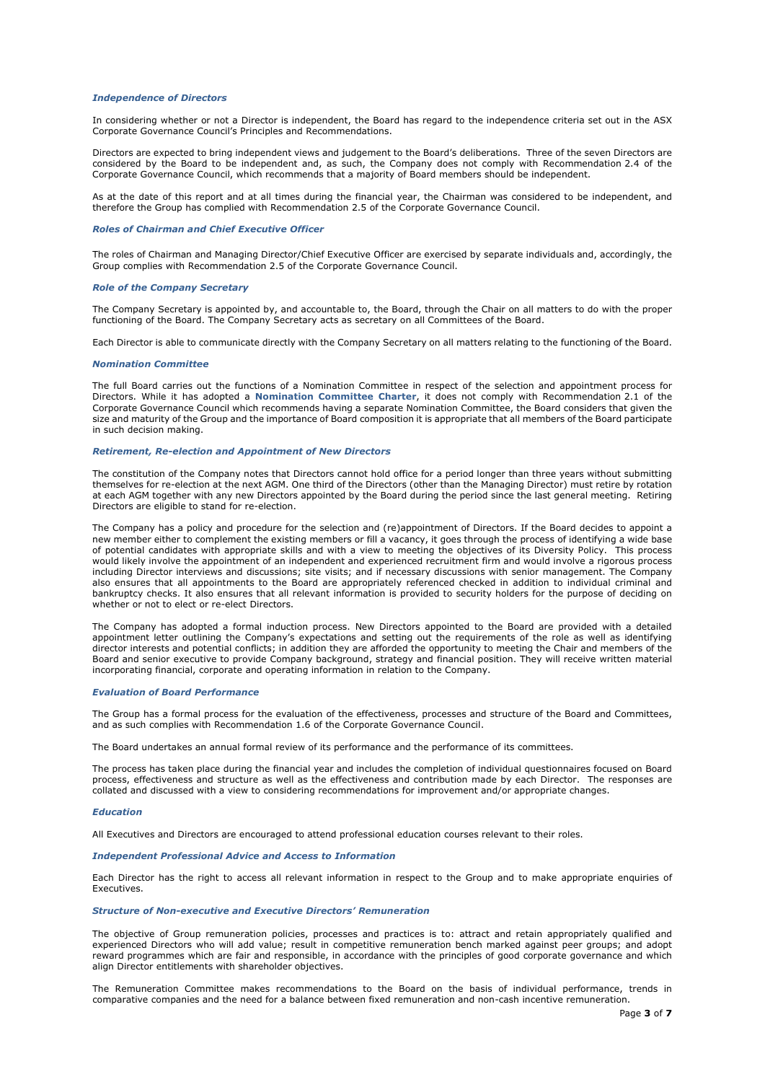#### *Independence of Directors*

In considering whether or not a Director is independent, the Board has regard to the independence criteria set out in the ASX Corporate Governance Council's Principles and Recommendations.

Directors are expected to bring independent views and judgement to the Board's deliberations. Three of the seven Directors are considered by the Board to be independent and, as such, the Company does not comply with Recommendation 2.4 of the Corporate Governance Council, which recommends that a majority of Board members should be independent.

As at the date of this report and at all times during the financial year, the Chairman was considered to be independent, and therefore the Group has complied with Recommendation 2.5 of the Corporate Governance Council.

#### *Roles of Chairman and Chief Executive Officer*

The roles of Chairman and Managing Director/Chief Executive Officer are exercised by separate individuals and, accordingly, the Group complies with Recommendation 2.5 of the Corporate Governance Council.

#### *Role of the Company Secretary*

The Company Secretary is appointed by, and accountable to, the Board, through the Chair on all matters to do with the proper functioning of the Board. The Company Secretary acts as secretary on all Committees of the Board.

Each Director is able to communicate directly with the Company Secretary on all matters relating to the functioning of the Board.

#### *Nomination Committee*

The full Board carries out the functions of a Nomination Committee in respect of the selection and appointment process for Directors. While it has adopted a **Nomination Committee Charter**, it does not comply with Recommendation 2.1 of the Corporate Governance Council which recommends having a separate Nomination Committee, the Board considers that given the size and maturity of the Group and the importance of Board composition it is appropriate that all members of the Board participate in such decision making.

## *Retirement, Re-election and Appointment of New Directors*

The constitution of the Company notes that Directors cannot hold office for a period longer than three years without submitting themselves for re-election at the next AGM. One third of the Directors (other than the Managing Director) must retire by rotation at each AGM together with any new Directors appointed by the Board during the period since the last general meeting. Retiring Directors are eligible to stand for re-election.

The Company has a policy and procedure for the selection and (re)appointment of Directors. If the Board decides to appoint a new member either to complement the existing members or fill a vacancy, it goes through the process of identifying a wide base of potential candidates with appropriate skills and with a view to meeting the objectives of its Diversity Policy. This process would likely involve the appointment of an independent and experienced recruitment firm and would involve a rigorous process including Director interviews and discussions; site visits; and if necessary discussions with senior management. The Company also ensures that all appointments to the Board are appropriately referenced checked in addition to individual criminal and bankruptcy checks. It also ensures that all relevant information is provided to security holders for the purpose of deciding on whether or not to elect or re-elect Directors.

The Company has adopted a formal induction process. New Directors appointed to the Board are provided with a detailed appointment letter outlining the Company's expectations and setting out the requirements of the role as well as identifying director interests and potential conflicts; in addition they are afforded the opportunity to meeting the Chair and members of the Board and senior executive to provide Company background, strategy and financial position. They will receive written material incorporating financial, corporate and operating information in relation to the Company.

#### *Evaluation of Board Performance*

The Group has a formal process for the evaluation of the effectiveness, processes and structure of the Board and Committees, and as such complies with Recommendation 1.6 of the Corporate Governance Council.

The Board undertakes an annual formal review of its performance and the performance of its committees.

The process has taken place during the financial year and includes the completion of individual questionnaires focused on Board process, effectiveness and structure as well as the effectiveness and contribution made by each Director. The responses are collated and discussed with a view to considering recommendations for improvement and/or appropriate changes.

#### *Education*

All Executives and Directors are encouraged to attend professional education courses relevant to their roles.

#### *Independent Professional Advice and Access to Information*

Each Director has the right to access all relevant information in respect to the Group and to make appropriate enquiries of Executives.

#### *Structure of Non-executive and Executive Directors' Remuneration*

The objective of Group remuneration policies, processes and practices is to: attract and retain appropriately qualified and experienced Directors who will add value; result in competitive remuneration bench marked against peer groups; and adopt reward programmes which are fair and responsible, in accordance with the principles of good corporate governance and which align Director entitlements with shareholder objectives.

The Remuneration Committee makes recommendations to the Board on the basis of individual performance, trends in comparative companies and the need for a balance between fixed remuneration and non-cash incentive remuneration.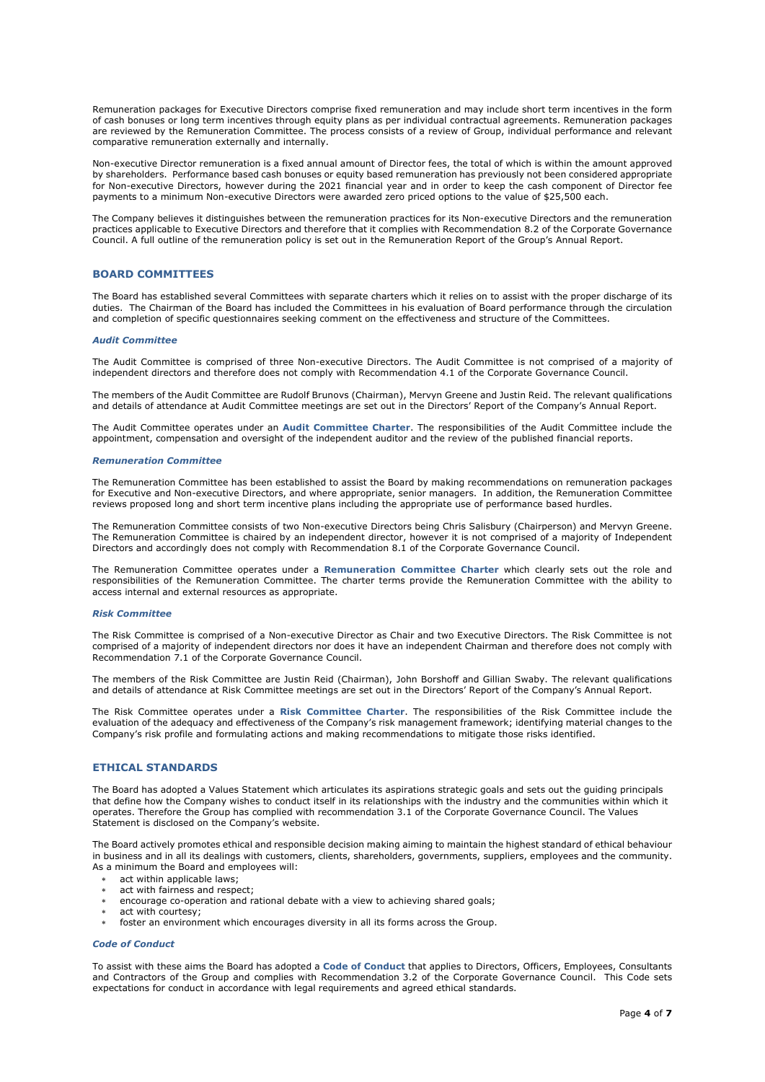Remuneration packages for Executive Directors comprise fixed remuneration and may include short term incentives in the form of cash bonuses or long term incentives through equity plans as per individual contractual agreements. Remuneration packages are reviewed by the Remuneration Committee. The process consists of a review of Group, individual performance and relevant comparative remuneration externally and internally.

Non-executive Director remuneration is a fixed annual amount of Director fees, the total of which is within the amount approved by shareholders. Performance based cash bonuses or equity based remuneration has previously not been considered appropriate for Non-executive Directors, however during the 2021 financial year and in order to keep the cash component of Director fee payments to a minimum Non-executive Directors were awarded zero priced options to the value of \$25,500 each.

The Company believes it distinguishes between the remuneration practices for its Non-executive Directors and the remuneration practices applicable to Executive Directors and therefore that it complies with Recommendation 8.2 of the Corporate Governance Council. A full outline of the remuneration policy is set out in the Remuneration Report of the Group's Annual Report.

## **BOARD COMMITTEES**

The Board has established several Committees with separate charters which it relies on to assist with the proper discharge of its duties. The Chairman of the Board has included the Committees in his evaluation of Board performance through the circulation and completion of specific questionnaires seeking comment on the effectiveness and structure of the Committees.

#### *Audit Committee*

The Audit Committee is comprised of three Non-executive Directors. The Audit Committee is not comprised of a majority of independent directors and therefore does not comply with Recommendation 4.1 of the Corporate Governance Council.

The members of the Audit Committee are Rudolf Brunovs (Chairman), Mervyn Greene and Justin Reid. The relevant qualifications and details of attendance at Audit Committee meetings are set out in the Directors' Report of the Company's Annual Report.

The Audit Committee operates under an **Audit Committee Charter**. The responsibilities of the Audit Committee include the appointment, compensation and oversight of the independent auditor and the review of the published financial reports.

#### *Remuneration Committee*

The Remuneration Committee has been established to assist the Board by making recommendations on remuneration packages for Executive and Non-executive Directors, and where appropriate, senior managers. In addition, the Remuneration Committee reviews proposed long and short term incentive plans including the appropriate use of performance based hurdles.

The Remuneration Committee consists of two Non-executive Directors being Chris Salisbury (Chairperson) and Mervyn Greene. The Remuneration Committee is chaired by an independent director, however it is not comprised of a majority of Independent Directors and accordingly does not comply with Recommendation 8.1 of the Corporate Governance Council.

The Remuneration Committee operates under a **Remuneration Committee Charter** which clearly sets out the role and responsibilities of the Remuneration Committee. The charter terms provide the Remuneration Committee with the ability to access internal and external resources as appropriate.

#### *Risk Committee*

The Risk Committee is comprised of a Non-executive Director as Chair and two Executive Directors. The Risk Committee is not comprised of a majority of independent directors nor does it have an independent Chairman and therefore does not comply with Recommendation 7.1 of the Corporate Governance Council.

The members of the Risk Committee are Justin Reid (Chairman), John Borshoff and Gillian Swaby. The relevant qualifications and details of attendance at Risk Committee meetings are set out in the Directors' Report of the Company's Annual Report.

The Risk Committee operates under a **Risk Committee Charter**. The responsibilities of the Risk Committee include the evaluation of the adequacy and effectiveness of the Company's risk management framework; identifying material changes to the Company's risk profile and formulating actions and making recommendations to mitigate those risks identified.

## **ETHICAL STANDARDS**

The Board has adopted a Values Statement which articulates its aspirations strategic goals and sets out the guiding principals that define how the Company wishes to conduct itself in its relationships with the industry and the communities within which it operates. Therefore the Group has complied with recommendation 3.1 of the Corporate Governance Council. The Values Statement is disclosed on the Company's website.

The Board actively promotes ethical and responsible decision making aiming to maintain the highest standard of ethical behaviour in business and in all its dealings with customers, clients, shareholders, governments, suppliers, employees and the community. As a minimum the Board and employees will:

- act within applicable laws;
- act with fairness and respect;
- encourage co-operation and rational debate with a view to achieving shared goals;
- act with courtesy:
- foster an environment which encourages diversity in all its forms across the Group.

#### *Code of Conduct*

To assist with these aims the Board has adopted a **Code of Conduct** that applies to Directors, Officers, Employees, Consultants and Contractors of the Group and complies with Recommendation 3.2 of the Corporate Governance Council. This Code sets expectations for conduct in accordance with legal requirements and agreed ethical standards.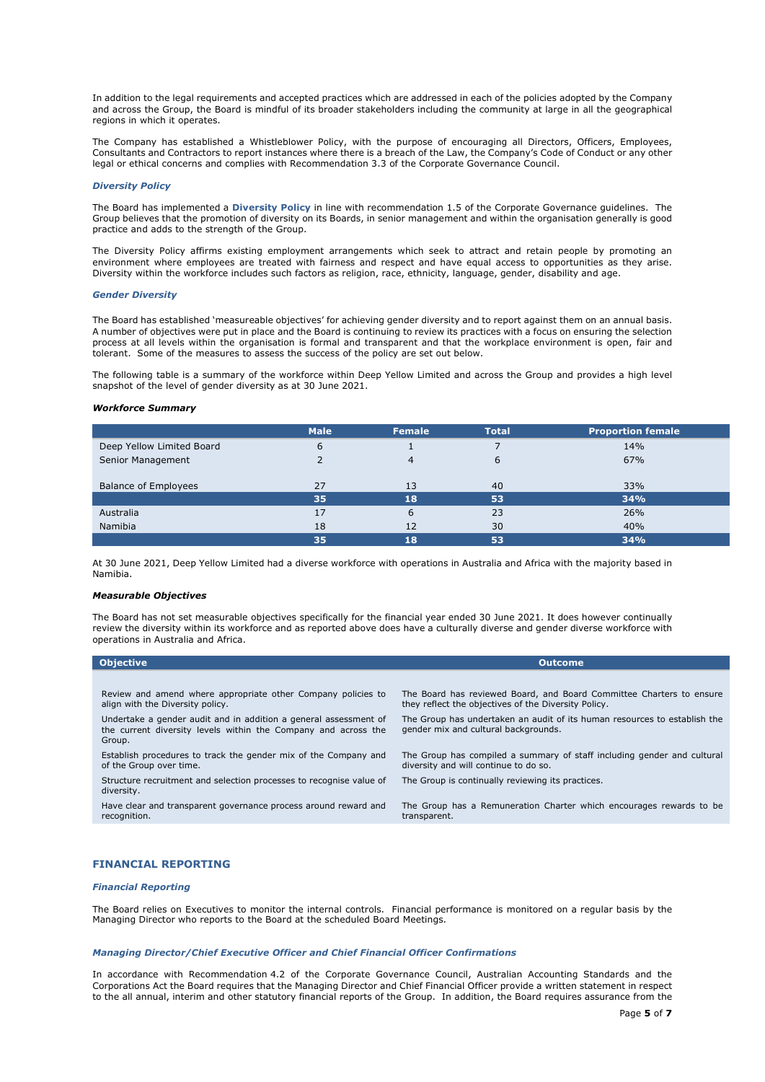In addition to the legal requirements and accepted practices which are addressed in each of the policies adopted by the Company and across the Group, the Board is mindful of its broader stakeholders including the community at large in all the geographical regions in which it operates.

The Company has established a Whistleblower Policy, with the purpose of encouraging all Directors, Officers, Employees, Consultants and Contractors to report instances where there is a breach of the Law, the Company's Code of Conduct or any other legal or ethical concerns and complies with Recommendation 3.3 of the Corporate Governance Council.

#### *Diversity Policy*

The Board has implemented a **Diversity Policy** in line with recommendation 1.5 of the Corporate Governance guidelines. The Group believes that the promotion of diversity on its Boards, in senior management and within the organisation generally is good practice and adds to the strength of the Group.

The Diversity Policy affirms existing employment arrangements which seek to attract and retain people by promoting an environment where employees are treated with fairness and respect and have equal access to opportunities as they arise. Diversity within the workforce includes such factors as religion, race, ethnicity, language, gender, disability and age.

#### *Gender Diversity*

The Board has established 'measureable objectives' for achieving gender diversity and to report against them on an annual basis. A number of objectives were put in place and the Board is continuing to review its practices with a focus on ensuring the selection process at all levels within the organisation is formal and transparent and that the workplace environment is open, fair and tolerant. Some of the measures to assess the success of the policy are set out below.

The following table is a summary of the workforce within Deep Yellow Limited and across the Group and provides a high level snapshot of the level of gender diversity as at 30 June 2021.

#### *Workforce Summary*

|                             | <b>Male</b> | Female | <b>Total</b> | <b>Proportion female</b> |
|-----------------------------|-------------|--------|--------------|--------------------------|
| Deep Yellow Limited Board   | 6           |        |              | 14%                      |
| Senior Management           |             | 4      | 6            | 67%                      |
|                             |             |        |              |                          |
| <b>Balance of Employees</b> | 27          | 13     | 40           | 33%                      |
|                             | 35          | 18     | 53           | 34%                      |
| Australia                   | 17          | 6      | 23           | 26%                      |
| Namibia                     | 18          | 12     | 30           | 40%                      |
|                             | 35          | 18     | 53           | 34%                      |

At 30 June 2021, Deep Yellow Limited had a diverse workforce with operations in Australia and Africa with the majority based in Namibia.

## *Measurable Objectives*

The Board has not set measurable objectives specifically for the financial year ended 30 June 2021. It does however continually review the diversity within its workforce and as reported above does have a culturally diverse and gender diverse workforce with operations in Australia and Africa.

| <b>Objective</b>                                                                                                                             | Outcome.                                                                                                                     |
|----------------------------------------------------------------------------------------------------------------------------------------------|------------------------------------------------------------------------------------------------------------------------------|
|                                                                                                                                              |                                                                                                                              |
| Review and amend where appropriate other Company policies to<br>align with the Diversity policy.                                             | The Board has reviewed Board, and Board Committee Charters to ensure<br>they reflect the objectives of the Diversity Policy. |
| Undertake a gender audit and in addition a general assessment of<br>the current diversity levels within the Company and across the<br>Group. | The Group has undertaken an audit of its human resources to establish the<br>gender mix and cultural backgrounds.            |
| Establish procedures to track the gender mix of the Company and<br>of the Group over time.                                                   | The Group has compiled a summary of staff including gender and cultural<br>diversity and will continue to do so.             |
| Structure recruitment and selection processes to recognise value of<br>diversity.                                                            | The Group is continually reviewing its practices.                                                                            |
| Have clear and transparent governance process around reward and<br>recognition.                                                              | The Group has a Remuneration Charter which encourages rewards to be<br>transparent.                                          |

## **FINANCIAL REPORTING**

#### *Financial Reporting*

The Board relies on Executives to monitor the internal controls. Financial performance is monitored on a regular basis by the Managing Director who reports to the Board at the scheduled Board Meetings.

#### *Managing Director/Chief Executive Officer and Chief Financial Officer Confirmations*

In accordance with Recommendation 4.2 of the Corporate Governance Council, Australian Accounting Standards and the Corporations Act the Board requires that the Managing Director and Chief Financial Officer provide a written statement in respect to the all annual, interim and other statutory financial reports of the Group. In addition, the Board requires assurance from the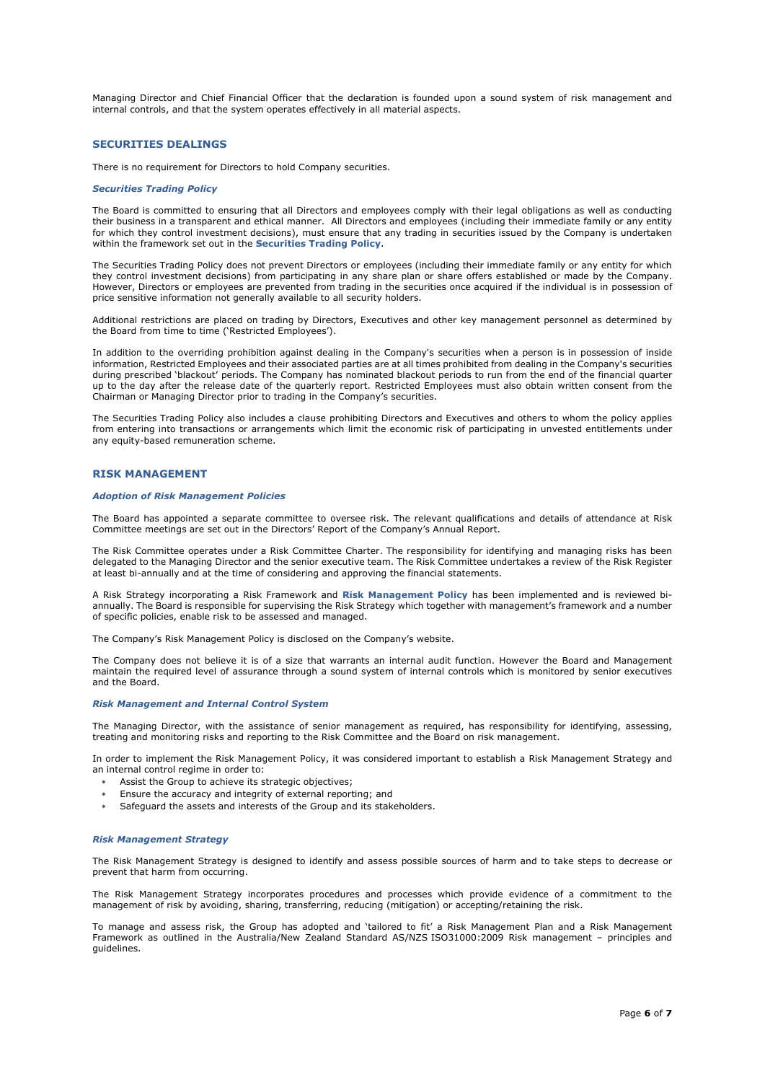Managing Director and Chief Financial Officer that the declaration is founded upon a sound system of risk management and internal controls, and that the system operates effectively in all material aspects.

#### **SECURITIES DEALINGS**

There is no requirement for Directors to hold Company securities.

#### *Securities Trading Policy*

The Board is committed to ensuring that all Directors and employees comply with their legal obligations as well as conducting their business in a transparent and ethical manner. All Directors and employees (including their immediate family or any entity for which they control investment decisions), must ensure that any trading in securities issued by the Company is undertaken within the framework set out in the **Securities Trading Policy**.

The Securities Trading Policy does not prevent Directors or employees (including their immediate family or any entity for which they control investment decisions) from participating in any share plan or share offers established or made by the Company. However, Directors or employees are prevented from trading in the securities once acquired if the individual is in possession of price sensitive information not generally available to all security holders.

Additional restrictions are placed on trading by Directors, Executives and other key management personnel as determined by the Board from time to time ('Restricted Employees').

In addition to the overriding prohibition against dealing in the Company's securities when a person is in possession of inside information, Restricted Employees and their associated parties are at all times prohibited from dealing in the Company's securities during prescribed 'blackout' periods. The Company has nominated blackout periods to run from the end of the financial quarter up to the day after the release date of the quarterly report. Restricted Employees must also obtain written consent from the Chairman or Managing Director prior to trading in the Company's securities.

The Securities Trading Policy also includes a clause prohibiting Directors and Executives and others to whom the policy applies from entering into transactions or arrangements which limit the economic risk of participating in unvested entitlements under any equity-based remuneration scheme.

## **RISK MANAGEMENT**

#### *Adoption of Risk Management Policies*

The Board has appointed a separate committee to oversee risk. The relevant qualifications and details of attendance at Risk Committee meetings are set out in the Directors' Report of the Company's Annual Report.

The Risk Committee operates under a Risk Committee Charter. The responsibility for identifying and managing risks has been delegated to the Managing Director and the senior executive team. The Risk Committee undertakes a review of the Risk Register at least bi-annually and at the time of considering and approving the financial statements.

A Risk Strategy incorporating a Risk Framework and **Risk Management Policy** has been implemented and is reviewed biannually. The Board is responsible for supervising the Risk Strategy which together with management's framework and a number of specific policies, enable risk to be assessed and managed.

The Company's Risk Management Policy is disclosed on the Company's website.

The Company does not believe it is of a size that warrants an internal audit function. However the Board and Management maintain the required level of assurance through a sound system of internal controls which is monitored by senior executives and the Board.

## *Risk Management and Internal Control System*

The Managing Director, with the assistance of senior management as required, has responsibility for identifying, assessing, treating and monitoring risks and reporting to the Risk Committee and the Board on risk management.

In order to implement the Risk Management Policy, it was considered important to establish a Risk Management Strategy and an internal control regime in order to:

- Assist the Group to achieve its strategic objectives;
- Ensure the accuracy and integrity of external reporting; and
- Safeguard the assets and interests of the Group and its stakeholders.

## *Risk Management Strategy*

The Risk Management Strategy is designed to identify and assess possible sources of harm and to take steps to decrease or prevent that harm from occurring.

The Risk Management Strategy incorporates procedures and processes which provide evidence of a commitment to the management of risk by avoiding, sharing, transferring, reducing (mitigation) or accepting/retaining the risk.

To manage and assess risk, the Group has adopted and 'tailored to fit' a Risk Management Plan and a Risk Management Framework as outlined in the Australia/New Zealand Standard AS/NZS ISO31000:2009 Risk management – principles and guidelines.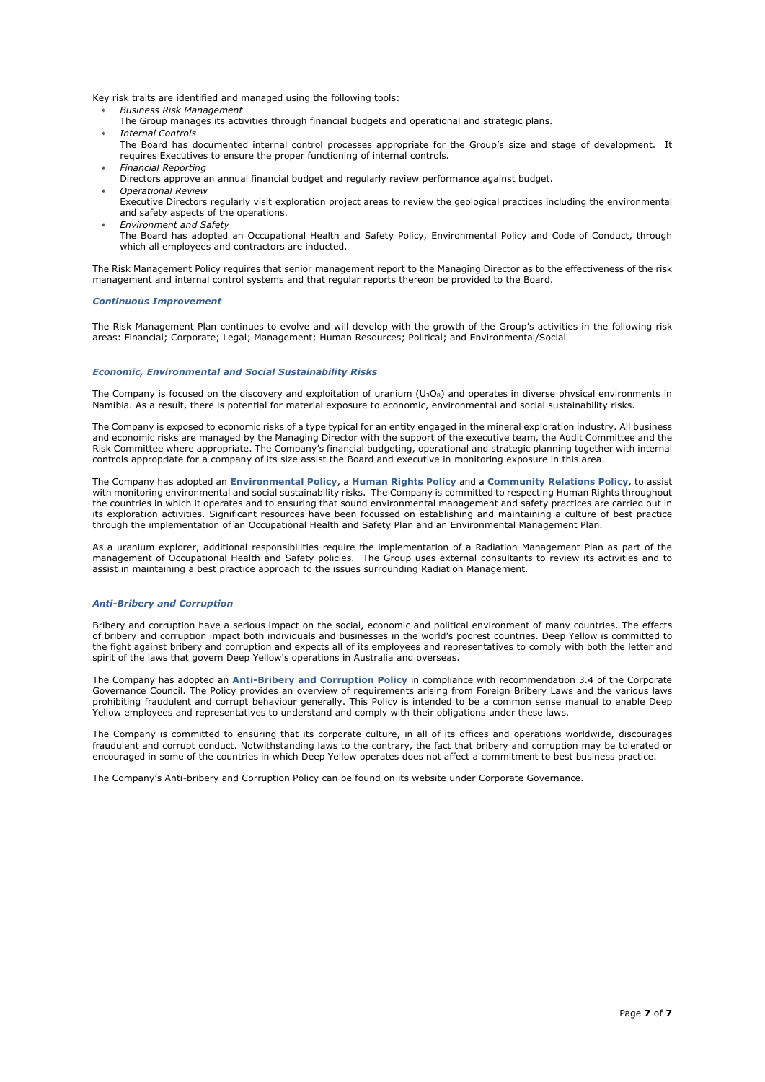Key risk traits are identified and managed using the following tools:

- ∗ *Business Risk Management*
- The Group manages its activities through financial budgets and operational and strategic plans.
- ∗ *Internal Controls*
	- The Board has documented internal control processes appropriate for the Group's size and stage of development. It requires Executives to ensure the proper functioning of internal controls.
- ∗ *Financial Reporting*
- Directors approve an annual financial budget and regularly review performance against budget.
- ∗ *Operational Review*
- Executive Directors regularly visit exploration project areas to review the geological practices including the environmental and safety aspects of the operations.
- ∗ *Environment and Safety* The Board has adopted an Occupational Health and Safety Policy, Environmental Policy and Code of Conduct, through which all employees and contractors are inducted.

The Risk Management Policy requires that senior management report to the Managing Director as to the effectiveness of the risk management and internal control systems and that regular reports thereon be provided to the Board.

#### *Continuous Improvement*

The Risk Management Plan continues to evolve and will develop with the growth of the Group's activities in the following risk areas: Financial; Corporate; Legal; Management; Human Resources; Political; and Environmental/Social

## *Economic, Environmental and Social Sustainability Risks*

The Company is focused on the discovery and exploitation of uranium  $(U_3O_8)$  and operates in diverse physical environments in Namibia. As a result, there is potential for material exposure to economic, environmental and social sustainability risks.

The Company is exposed to economic risks of a type typical for an entity engaged in the mineral exploration industry. All business and economic risks are managed by the Managing Director with the support of the executive team, the Audit Committee and the Risk Committee where appropriate. The Company's financial budgeting, operational and strategic planning together with internal controls appropriate for a company of its size assist the Board and executive in monitoring exposure in this area.

The Company has adopted an **Environmental Policy**, a **Human Rights Policy** and a **Community Relations Policy**, to assist with monitoring environmental and social sustainability risks. The Company is committed to respecting Human Rights throughout the countries in which it operates and to ensuring that sound environmental management and safety practices are carried out in its exploration activities. Significant resources have been focussed on establishing and maintaining a culture of best practice through the implementation of an Occupational Health and Safety Plan and an Environmental Management Plan.

As a uranium explorer, additional responsibilities require the implementation of a Radiation Management Plan as part of the management of Occupational Health and Safety policies. The Group uses external consultants to review its activities and to assist in maintaining a best practice approach to the issues surrounding Radiation Management.

## *Anti-Bribery and Corruption*

Bribery and corruption have a serious impact on the social, economic and political environment of many countries. The effects of bribery and corruption impact both individuals and businesses in the world's poorest countries. Deep Yellow is committed to the fight against bribery and corruption and expects all of its employees and representatives to comply with both the letter and spirit of the laws that govern Deep Yellow's operations in Australia and overseas.

The Company has adopted an **Anti-Bribery and Corruption Policy** in compliance with recommendation 3.4 of the Corporate Governance Council. The Policy provides an overview of requirements arising from Foreign Bribery Laws and the various laws prohibiting fraudulent and corrupt behaviour generally. This Policy is intended to be a common sense manual to enable Deep Yellow employees and representatives to understand and comply with their obligations under these laws.

The Company is committed to ensuring that its corporate culture, in all of its offices and operations worldwide, discourages fraudulent and corrupt conduct. Notwithstanding laws to the contrary, the fact that bribery and corruption may be tolerated or encouraged in some of the countries in which Deep Yellow operates does not affect a commitment to best business practice.

The Company's Anti-bribery and Corruption Policy can be found on its website under Corporate Governance.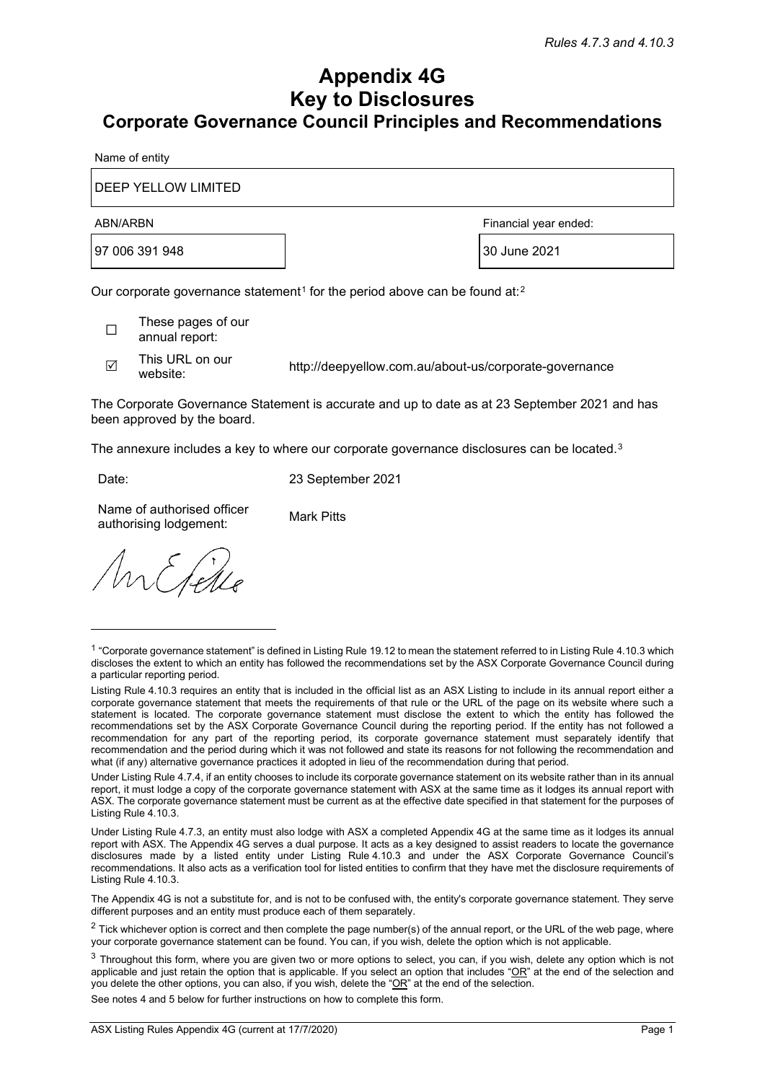## **Appendix 4G Key to Disclosures Corporate Governance Council Principles and Recommendations**

Name of entity

DEEP YELLOW LIMITED

97 006 391 948  $\vert$  30 June 2021

ABN/ARBN Financial year ended:

Our corporate governance statement<sup>[1](#page-7-0)</sup> for the period above can be found at:<sup>[2](#page-7-1)</sup>

☐ These pages of our annual report:

 $\nabla$  This URL on our website: http://deepyellow.com.au/about-us/corporate-governance

The Corporate Governance Statement is accurate and up to date as at 23 September 2021 and has been approved by the board.

The annexure includes a key to where our corporate governance disclosures can be located.<sup>[3](#page-7-2)</sup>

Date: 23 September 2021

Name of authorised officer Narie of additionsed oncer<br>authorising lodgement: Mark Pitts

n Effle

The Appendix 4G is not a substitute for, and is not to be confused with, the entity's corporate governance statement. They serve different purposes and an entity must produce each of them separately.

See notes 4 and 5 below for further instructions on how to complete this form.

<span id="page-7-0"></span><sup>&</sup>lt;sup>1</sup> "Corporate governance statement" is defined in Listing Rule 19.12 to mean the statement referred to in Listing Rule 4.10.3 which discloses the extent to which an entity has followed the recommendations set by the ASX Corporate Governance Council during a particular reporting period.

Listing Rule 4.10.3 requires an entity that is included in the official list as an ASX Listing to include in its annual report either a corporate governance statement that meets the requirements of that rule or the URL of the page on its website where such a statement is located. The corporate governance statement must disclose the extent to which the entity has followed the recommendations set by the ASX Corporate Governance Council during the reporting period. If the entity has not followed a recommendation for any part of the reporting period, its corporate governance statement must separately identify that recommendation and the period during which it was not followed and state its reasons for not following the recommendation and what (if any) alternative governance practices it adopted in lieu of the recommendation during that period.

Under Listing Rule 4.7.4, if an entity chooses to include its corporate governance statement on its website rather than in its annual report, it must lodge a copy of the corporate governance statement with ASX at the same time as it lodges its annual report with ASX. The corporate governance statement must be current as at the effective date specified in that statement for the purposes of Listing Rule 4.10.3.

Under Listing Rule 4.7.3, an entity must also lodge with ASX a completed Appendix 4G at the same time as it lodges its annual report with ASX. The Appendix 4G serves a dual purpose. It acts as a key designed to assist readers to locate the governance disclosures made by a listed entity under Listing Rule 4.10.3 and under the ASX Corporate Governance Council's recommendations. It also acts as a verification tool for listed entities to confirm that they have met the disclosure requirements of Listing Rule 4.10.3.

<span id="page-7-1"></span> $2$  Tick whichever option is correct and then complete the page number(s) of the annual report, or the URL of the web page, where your corporate governance statement can be found. You can, if you wish, delete the option which is not applicable.

<span id="page-7-2"></span> $3$  Throughout this form, where you are given two or more options to select, you can, if you wish, delete any option which is not applicable and just retain the option that is applicable. If you select an option that includes " $OR$ " at the end of the selection and you delete the other options, you can also, if you wish, delete the "OR" at the end of the selection.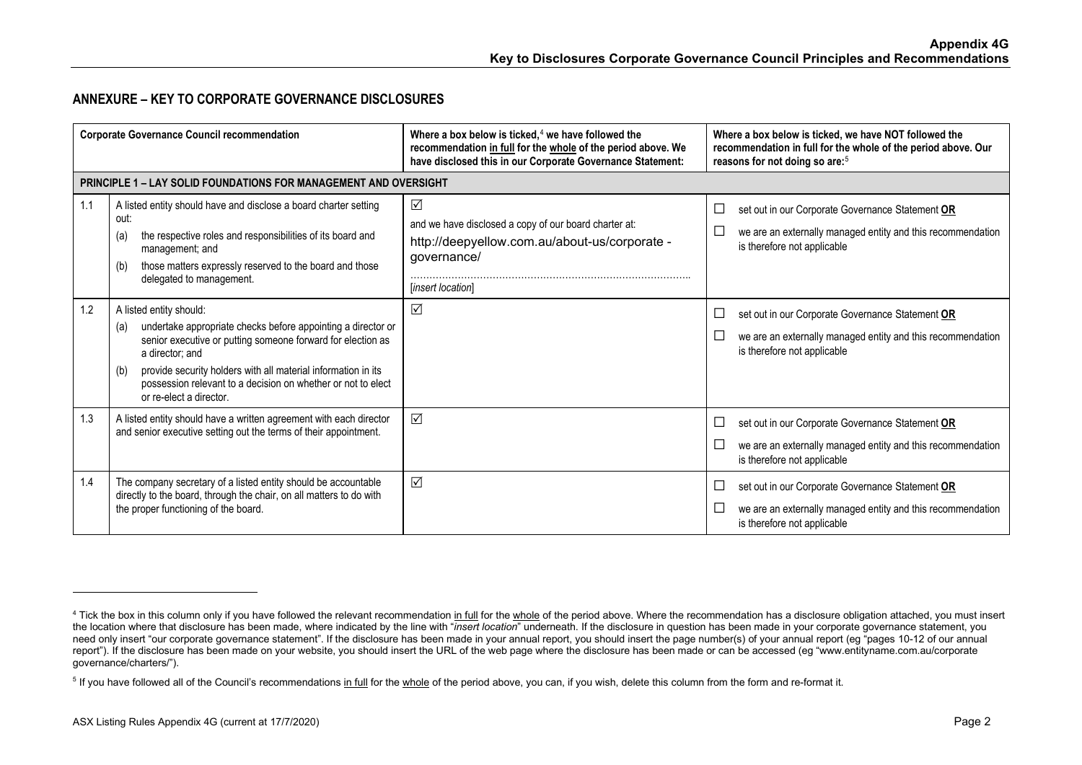## <span id="page-8-1"></span><span id="page-8-0"></span>**ANNEXURE – KEY TO CORPORATE GOVERNANCE DISCLOSURES**

|     | <b>Corporate Governance Council recommendation</b>                                                                                                                                                                                                                                                                                                  | Where a box below is ticked, $4$ we have followed the<br>recommendation in full for the whole of the period above. We<br>have disclosed this in our Corporate Governance Statement: | Where a box below is ticked, we have NOT followed the<br>recommendation in full for the whole of the period above. Our<br>reasons for not doing so are: <sup>5</sup> |
|-----|-----------------------------------------------------------------------------------------------------------------------------------------------------------------------------------------------------------------------------------------------------------------------------------------------------------------------------------------------------|-------------------------------------------------------------------------------------------------------------------------------------------------------------------------------------|----------------------------------------------------------------------------------------------------------------------------------------------------------------------|
|     | <b>PRINCIPLE 1 – LAY SOLID FOUNDATIONS FOR MANAGEMENT AND OVERSIGHT</b>                                                                                                                                                                                                                                                                             |                                                                                                                                                                                     |                                                                                                                                                                      |
| 1.1 | A listed entity should have and disclose a board charter setting<br>out:<br>the respective roles and responsibilities of its board and<br>(a)<br>management; and<br>those matters expressly reserved to the board and those<br>(b)<br>delegated to management.                                                                                      | $\triangledown$<br>and we have disclosed a copy of our board charter at:<br>http://deepyellow.com.au/about-us/corporate -<br>governance/<br>[insert location]                       | set out in our Corporate Governance Statement OR<br>$\Box$<br>we are an externally managed entity and this recommendation<br>is therefore not applicable             |
| 1.2 | A listed entity should:<br>undertake appropriate checks before appointing a director or<br>(a)<br>senior executive or putting someone forward for election as<br>a director: and<br>provide security holders with all material information in its<br>(b)<br>possession relevant to a decision on whether or not to elect<br>or re-elect a director. | $\triangledown$                                                                                                                                                                     | set out in our Corporate Governance Statement OR<br>$\Box$<br>we are an externally managed entity and this recommendation<br>is therefore not applicable             |
| 1.3 | A listed entity should have a written agreement with each director<br>and senior executive setting out the terms of their appointment.                                                                                                                                                                                                              | $\triangledown$                                                                                                                                                                     | set out in our Corporate Governance Statement OR<br>∟<br>we are an externally managed entity and this recommendation<br>is therefore not applicable                  |
| 1.4 | The company secretary of a listed entity should be accountable<br>directly to the board, through the chair, on all matters to do with<br>the proper functioning of the board.                                                                                                                                                                       | $\triangledown$                                                                                                                                                                     | set out in our Corporate Governance Statement OR<br>$\Box$<br>we are an externally managed entity and this recommendation<br>$\Box$<br>is therefore not applicable   |

<sup>&</sup>lt;sup>4</sup> Tick the box in this column only if you have followed the relevant recommendation in full for the whole of the period above. Where the recommendation has a disclosure obligation attached, you must insert the location where that disclosure has been made, where indicated by the line with "*insert location*" underneath. If the disclosure in question has been made in your corporate governance statement, you need only insert "our corporate governance statement". If the disclosure has been made in your annual report, you should insert the page number(s) of your annual report (eg "pages 10-12 of our annual report"). If the disclosure has been made on your website, you should insert the URL of the web page where the disclosure has been made or can be accessed (eg "www.entityname.com.au/corporate governance/charters/").

<sup>&</sup>lt;sup>5</sup> If you have followed all of the Council's recommendations in full for the whole of the period above, you can, if you wish, delete this column from the form and re-format it.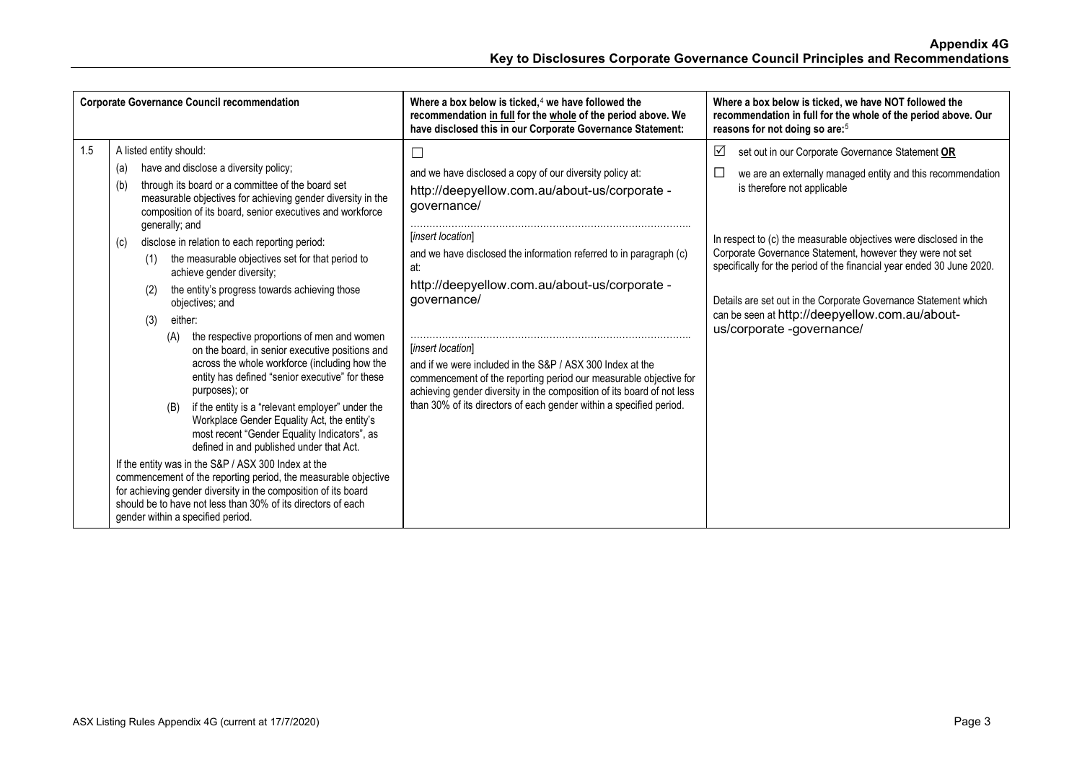| A listed entity should:<br>1.5<br>☑<br>set out in our Corporate Governance Statement OR<br>have and disclose a diversity policy;<br>(a)<br>and we have disclosed a copy of our diversity policy at:<br>through its board or a committee of the board set<br>(b)<br>is therefore not applicable<br>http://deepyellow.com.au/about-us/corporate -<br>measurable objectives for achieving gender diversity in the<br>governance/<br>composition of its board, senior executives and workforce<br>generally; and<br>[insert location]<br>In respect to (c) the measurable objectives were disclosed in the<br>disclose in relation to each reporting period:<br>(c)<br>Corporate Governance Statement, however they were not set<br>and we have disclosed the information referred to in paragraph (c)<br>the measurable objectives set for that period to<br>(1)<br>at:<br>achieve gender diversity;<br>http://deepyellow.com.au/about-us/corporate -<br>the entity's progress towards achieving those<br>(2)<br>qovernance/<br>objectives; and<br>can be seen at http://deepyellow.com.au/about-<br>either:<br>(3)<br>us/corporate -governance/<br>the respective proportions of men and women<br>(A)<br>[insert location]<br>on the board, in senior executive positions and<br>across the whole workforce (including how the<br>and if we were included in the S&P / ASX 300 Index at the<br>entity has defined "senior executive" for these<br>commencement of the reporting period our measurable objective for<br>purposes); or<br>achieving gender diversity in the composition of its board of not less<br>than 30% of its directors of each gender within a specified period.<br>if the entity is a "relevant employer" under the<br>(B)<br>Workplace Gender Equality Act, the entity's<br>most recent "Gender Equality Indicators", as<br>defined in and published under that Act.<br>If the entity was in the S&P / ASX 300 Index at the | <b>Corporate Governance Council recommendation</b> | Where a box below is ticked, $4$ we have followed the<br>recommendation in full for the whole of the period above. We<br>have disclosed this in our Corporate Governance Statement: | Where a box below is ticked, we have NOT followed the<br>recommendation in full for the whole of the period above. Our<br>reasons for not doing so are: <sup>5</sup>                                    |
|--------------------------------------------------------------------------------------------------------------------------------------------------------------------------------------------------------------------------------------------------------------------------------------------------------------------------------------------------------------------------------------------------------------------------------------------------------------------------------------------------------------------------------------------------------------------------------------------------------------------------------------------------------------------------------------------------------------------------------------------------------------------------------------------------------------------------------------------------------------------------------------------------------------------------------------------------------------------------------------------------------------------------------------------------------------------------------------------------------------------------------------------------------------------------------------------------------------------------------------------------------------------------------------------------------------------------------------------------------------------------------------------------------------------------------------------------------------------------------------------------------------------------------------------------------------------------------------------------------------------------------------------------------------------------------------------------------------------------------------------------------------------------------------------------------------------------------------------------------------------------------------------------------------------------------------------------|----------------------------------------------------|-------------------------------------------------------------------------------------------------------------------------------------------------------------------------------------|---------------------------------------------------------------------------------------------------------------------------------------------------------------------------------------------------------|
| commencement of the reporting period, the measurable objective<br>for achieving gender diversity in the composition of its board<br>should be to have not less than 30% of its directors of each                                                                                                                                                                                                                                                                                                                                                                                                                                                                                                                                                                                                                                                                                                                                                                                                                                                                                                                                                                                                                                                                                                                                                                                                                                                                                                                                                                                                                                                                                                                                                                                                                                                                                                                                                 |                                                    |                                                                                                                                                                                     | we are an externally managed entity and this recommendation<br>specifically for the period of the financial year ended 30 June 2020.<br>Details are set out in the Corporate Governance Statement which |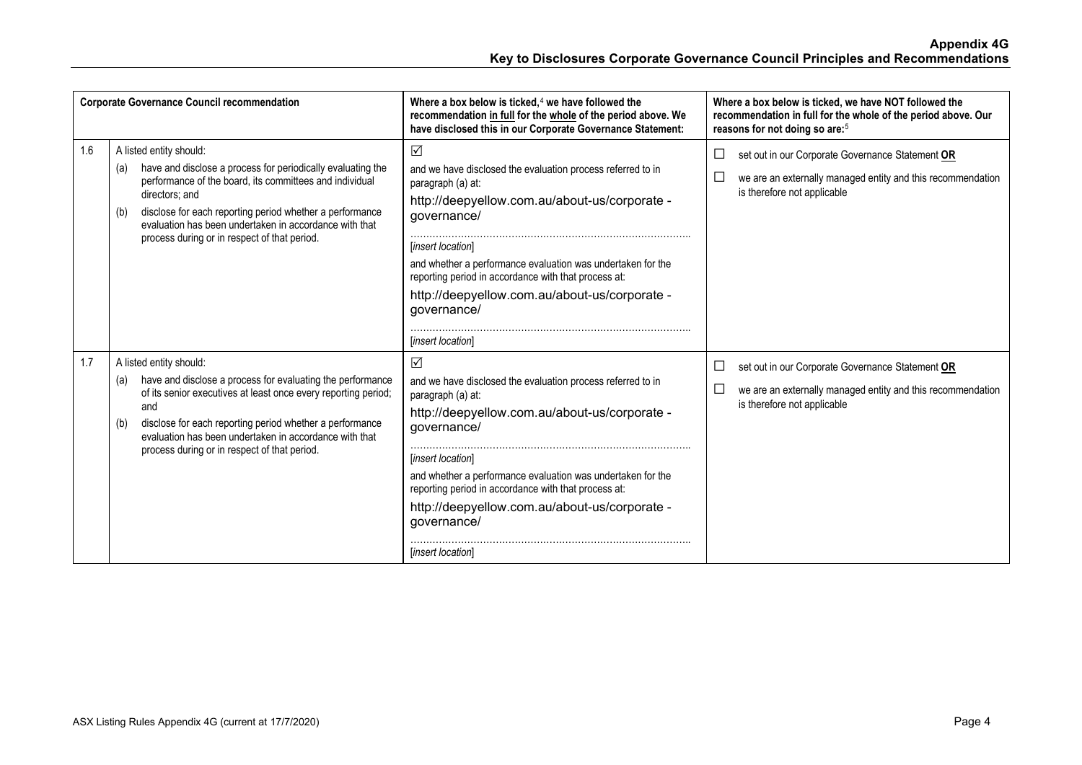|     | <b>Corporate Governance Council recommendation</b>                                                                                                                                                                                                                                                                                                      | Where a box below is ticked, $4$ we have followed the<br>recommendation in full for the whole of the period above. We<br>have disclosed this in our Corporate Governance Statement:                                                                                                                                                                                                    | Where a box below is ticked, we have NOT followed the<br>recommendation in full for the whole of the period above. Our<br>reasons for not doing so are: <sup>5</sup>                    |
|-----|---------------------------------------------------------------------------------------------------------------------------------------------------------------------------------------------------------------------------------------------------------------------------------------------------------------------------------------------------------|----------------------------------------------------------------------------------------------------------------------------------------------------------------------------------------------------------------------------------------------------------------------------------------------------------------------------------------------------------------------------------------|-----------------------------------------------------------------------------------------------------------------------------------------------------------------------------------------|
| 1.6 | A listed entity should:<br>have and disclose a process for periodically evaluating the<br>(a)<br>performance of the board, its committees and individual<br>directors; and<br>disclose for each reporting period whether a performance<br>(b)<br>evaluation has been undertaken in accordance with that<br>process during or in respect of that period. | ☑<br>and we have disclosed the evaluation process referred to in<br>paragraph (a) at:<br>http://deepyellow.com.au/about-us/corporate -<br>governance/<br>[insert location]<br>and whether a performance evaluation was undertaken for the<br>reporting period in accordance with that process at:<br>http://deepyellow.com.au/about-us/corporate -<br>governance/<br>[insert location] | set out in our Corporate Governance Statement OR<br>$\Box$<br>$\Box$<br>we are an externally managed entity and this recommendation<br>is therefore not applicable                      |
| 1.7 | A listed entity should:<br>have and disclose a process for evaluating the performance<br>(a)<br>of its senior executives at least once every reporting period;<br>and<br>disclose for each reporting period whether a performance<br>(b)<br>evaluation has been undertaken in accordance with that<br>process during or in respect of that period.      | ☑<br>and we have disclosed the evaluation process referred to in<br>paragraph (a) at:<br>http://deepyellow.com.au/about-us/corporate -<br>governance/<br>[insert location]<br>and whether a performance evaluation was undertaken for the<br>reporting period in accordance with that process at:<br>http://deepyellow.com.au/about-us/corporate -<br>governance/<br>[insert location] | set out in our Corporate Governance Statement OR<br>$\mathcal{L}_{\mathcal{A}}$<br>$\Box$<br>we are an externally managed entity and this recommendation<br>is therefore not applicable |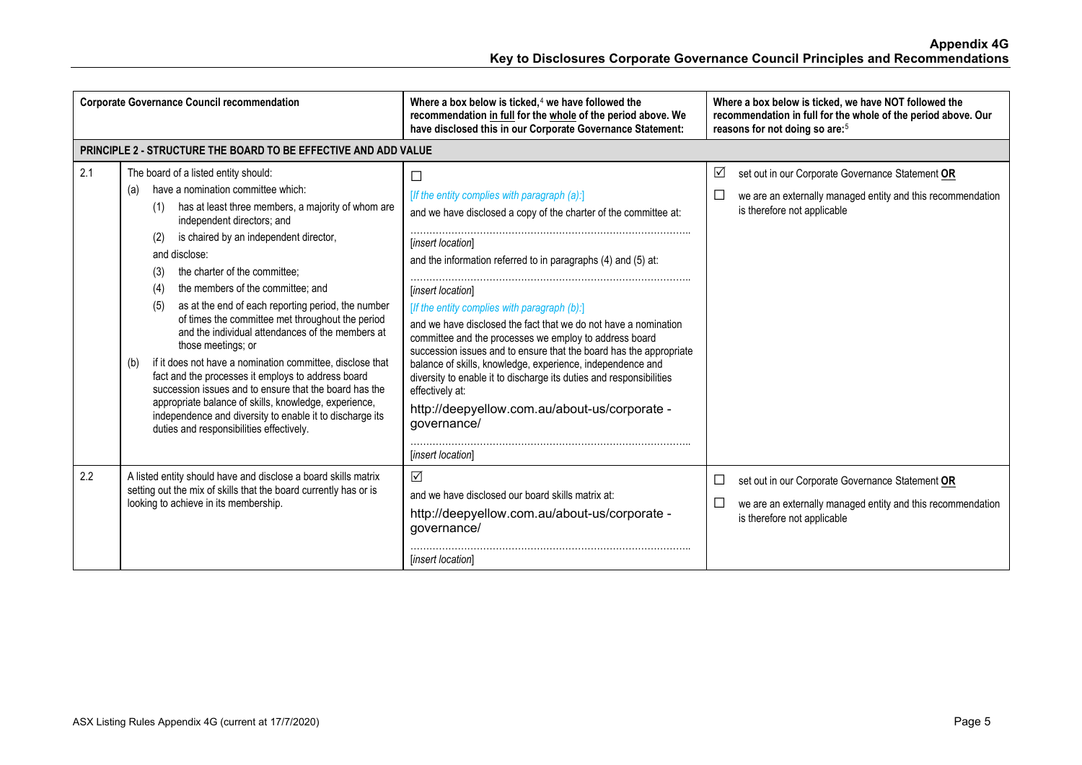|     | <b>Corporate Governance Council recommendation</b>                                                                                                                                                                                                                                                                                                                                                                                                                                                                                                                                                                                                                                                                                                                                                                                                                                 | Where a box below is ticked, <sup>4</sup> we have followed the<br>recommendation in full for the whole of the period above. We<br>have disclosed this in our Corporate Governance Statement:                                                                                                                                                                                                                                                                                                                                                                                                                                                                                                                                     | Where a box below is ticked, we have NOT followed the<br>recommendation in full for the whole of the period above. Our<br>reasons for not doing so are: <sup>5</sup>               |
|-----|------------------------------------------------------------------------------------------------------------------------------------------------------------------------------------------------------------------------------------------------------------------------------------------------------------------------------------------------------------------------------------------------------------------------------------------------------------------------------------------------------------------------------------------------------------------------------------------------------------------------------------------------------------------------------------------------------------------------------------------------------------------------------------------------------------------------------------------------------------------------------------|----------------------------------------------------------------------------------------------------------------------------------------------------------------------------------------------------------------------------------------------------------------------------------------------------------------------------------------------------------------------------------------------------------------------------------------------------------------------------------------------------------------------------------------------------------------------------------------------------------------------------------------------------------------------------------------------------------------------------------|------------------------------------------------------------------------------------------------------------------------------------------------------------------------------------|
|     | <b>PRINCIPLE 2 - STRUCTURE THE BOARD TO BE EFFECTIVE AND ADD VALUE</b>                                                                                                                                                                                                                                                                                                                                                                                                                                                                                                                                                                                                                                                                                                                                                                                                             |                                                                                                                                                                                                                                                                                                                                                                                                                                                                                                                                                                                                                                                                                                                                  |                                                                                                                                                                                    |
| 2.1 | The board of a listed entity should:<br>have a nomination committee which:<br>(a)<br>has at least three members, a majority of whom are<br>(1)<br>independent directors; and<br>is chaired by an independent director,<br>(2)<br>and disclose:<br>the charter of the committee;<br>(3)<br>the members of the committee; and<br>(4)<br>as at the end of each reporting period, the number<br>(5)<br>of times the committee met throughout the period<br>and the individual attendances of the members at<br>those meetings; or<br>if it does not have a nomination committee, disclose that<br>(b)<br>fact and the processes it employs to address board<br>succession issues and to ensure that the board has the<br>appropriate balance of skills, knowledge, experience,<br>independence and diversity to enable it to discharge its<br>duties and responsibilities effectively. | ட<br>[If the entity complies with paragraph (a):]<br>and we have disclosed a copy of the charter of the committee at:<br>[insert location]<br>and the information referred to in paragraphs (4) and (5) at:<br>[insert location]<br>[If the entity complies with paragraph (b):]<br>and we have disclosed the fact that we do not have a nomination<br>committee and the processes we employ to address board<br>succession issues and to ensure that the board has the appropriate<br>balance of skills, knowledge, experience, independence and<br>diversity to enable it to discharge its duties and responsibilities<br>effectively at:<br>http://deepyellow.com.au/about-us/corporate -<br>governance/<br>[insert location] | ☑<br>set out in our Corporate Governance Statement OR<br>$\mathcal{L}_{\mathcal{A}}$<br>we are an externally managed entity and this recommendation<br>is therefore not applicable |
| 2.2 | A listed entity should have and disclose a board skills matrix<br>setting out the mix of skills that the board currently has or is<br>looking to achieve in its membership.                                                                                                                                                                                                                                                                                                                                                                                                                                                                                                                                                                                                                                                                                                        | $\triangledown$<br>and we have disclosed our board skills matrix at:<br>http://deepyellow.com.au/about-us/corporate -<br>governance/<br>[insert location]                                                                                                                                                                                                                                                                                                                                                                                                                                                                                                                                                                        | set out in our Corporate Governance Statement OR<br>$\Box$<br>$\Box$<br>we are an externally managed entity and this recommendation<br>is therefore not applicable                 |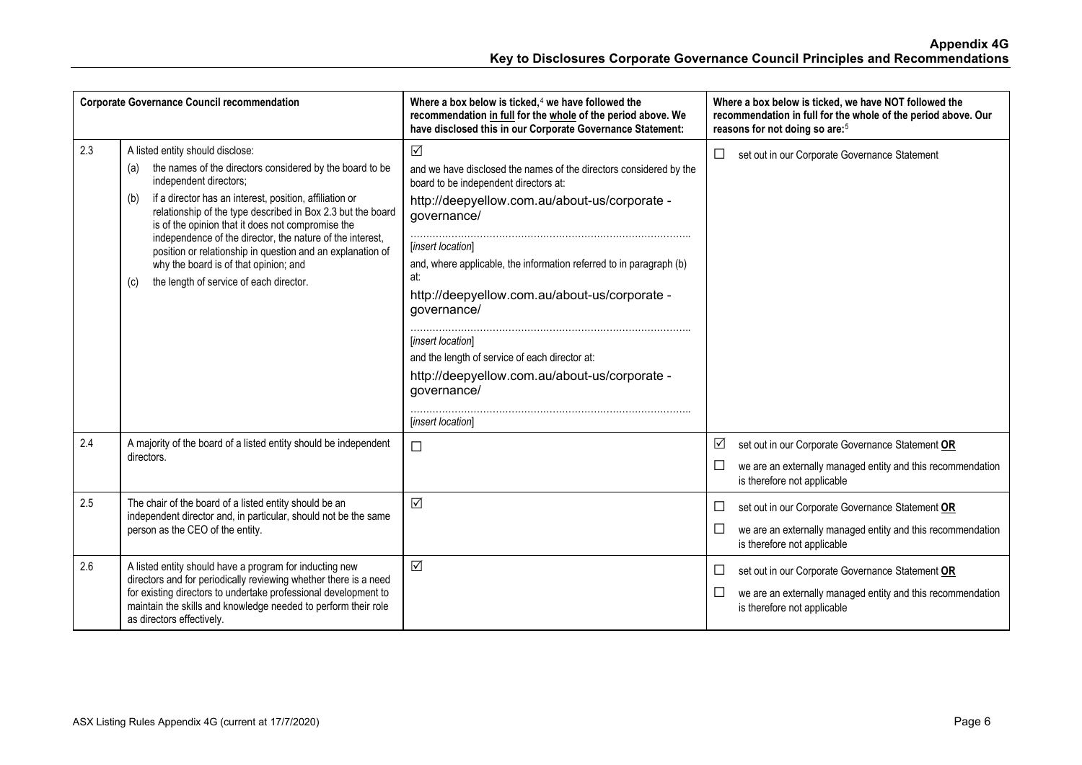|     | <b>Corporate Governance Council recommendation</b>                                                                                                                                                                                                                                                                                                                                                                                                                                                                                        | Where a box below is ticked, $4$ we have followed the<br>recommendation in full for the whole of the period above. We<br>have disclosed this in our Corporate Governance Statement:                                                                                                                                                                                                                                                                                                                                           | Where a box below is ticked, we have NOT followed the<br>recommendation in full for the whole of the period above. Our<br>reasons for not doing so are: <sup>5</sup> |
|-----|-------------------------------------------------------------------------------------------------------------------------------------------------------------------------------------------------------------------------------------------------------------------------------------------------------------------------------------------------------------------------------------------------------------------------------------------------------------------------------------------------------------------------------------------|-------------------------------------------------------------------------------------------------------------------------------------------------------------------------------------------------------------------------------------------------------------------------------------------------------------------------------------------------------------------------------------------------------------------------------------------------------------------------------------------------------------------------------|----------------------------------------------------------------------------------------------------------------------------------------------------------------------|
| 2.3 | A listed entity should disclose:<br>the names of the directors considered by the board to be<br>(a)<br>independent directors;<br>if a director has an interest, position, affiliation or<br>(b)<br>relationship of the type described in Box 2.3 but the board<br>is of the opinion that it does not compromise the<br>independence of the director, the nature of the interest,<br>position or relationship in question and an explanation of<br>why the board is of that opinion; and<br>the length of service of each director.<br>(c) | $\triangledown$<br>and we have disclosed the names of the directors considered by the<br>board to be independent directors at:<br>http://deepyellow.com.au/about-us/corporate -<br>governance/<br>[insert location]<br>and, where applicable, the information referred to in paragraph (b)<br>at:<br>http://deepyellow.com.au/about-us/corporate -<br>governance/<br>[insert location]<br>and the length of service of each director at:<br>http://deepyellow.com.au/about-us/corporate -<br>governance/<br>[insert location] | $\Box$<br>set out in our Corporate Governance Statement                                                                                                              |
| 2.4 | A majority of the board of a listed entity should be independent<br>directors.                                                                                                                                                                                                                                                                                                                                                                                                                                                            | $\Box$                                                                                                                                                                                                                                                                                                                                                                                                                                                                                                                        | ☑<br>set out in our Corporate Governance Statement OR<br>we are an externally managed entity and this recommendation<br>⊔<br>is therefore not applicable             |
| 2.5 | The chair of the board of a listed entity should be an<br>independent director and, in particular, should not be the same<br>person as the CEO of the entity.                                                                                                                                                                                                                                                                                                                                                                             | $\triangledown$                                                                                                                                                                                                                                                                                                                                                                                                                                                                                                               | set out in our Corporate Governance Statement OR<br>⊔<br>$\Box$<br>we are an externally managed entity and this recommendation<br>is therefore not applicable        |
| 2.6 | A listed entity should have a program for inducting new<br>directors and for periodically reviewing whether there is a need<br>for existing directors to undertake professional development to<br>maintain the skills and knowledge needed to perform their role<br>as directors effectively.                                                                                                                                                                                                                                             | $\triangledown$                                                                                                                                                                                                                                                                                                                                                                                                                                                                                                               | set out in our Corporate Governance Statement OR<br>ப<br>we are an externally managed entity and this recommendation<br>$\Box$<br>is therefore not applicable        |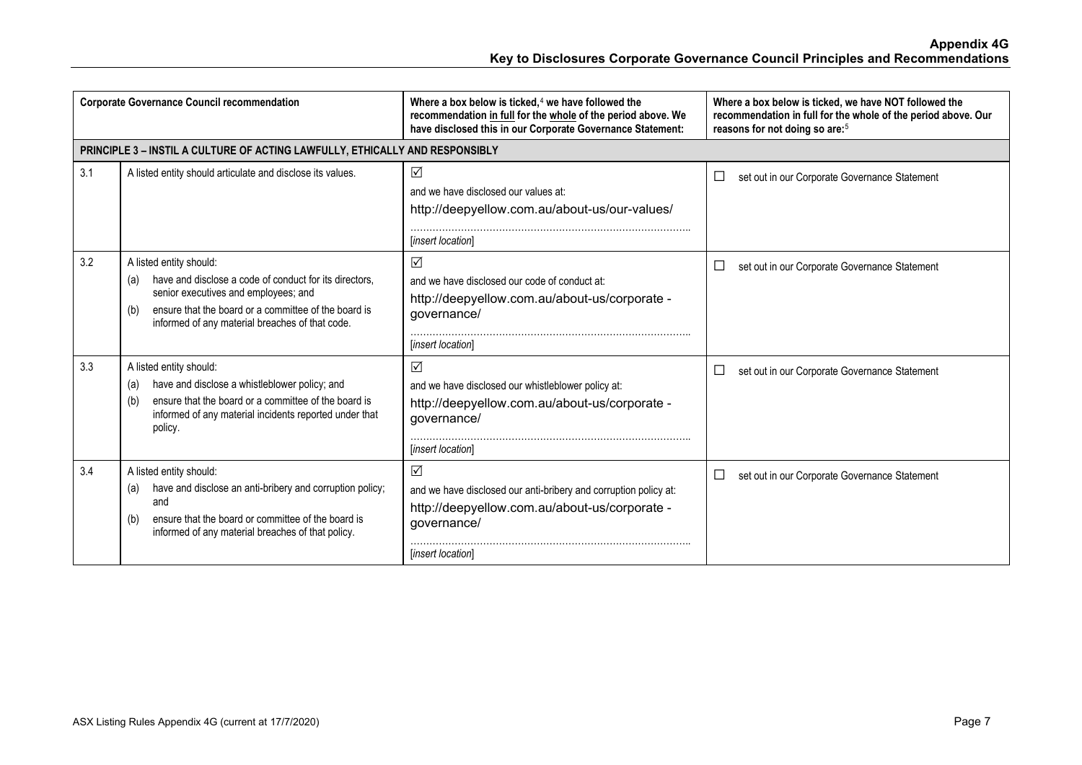|     | <b>Corporate Governance Council recommendation</b>                                                                                                                                                                                                 | Where a box below is ticked, $4$ we have followed the<br>recommendation in full for the whole of the period above. We<br>have disclosed this in our Corporate Governance Statement: | Where a box below is ticked, we have NOT followed the<br>recommendation in full for the whole of the period above. Our<br>reasons for not doing so are: <sup>5</sup> |
|-----|----------------------------------------------------------------------------------------------------------------------------------------------------------------------------------------------------------------------------------------------------|-------------------------------------------------------------------------------------------------------------------------------------------------------------------------------------|----------------------------------------------------------------------------------------------------------------------------------------------------------------------|
|     | PRINCIPLE 3 - INSTIL A CULTURE OF ACTING LAWFULLY, ETHICALLY AND RESPONSIBLY                                                                                                                                                                       |                                                                                                                                                                                     |                                                                                                                                                                      |
| 3.1 | A listed entity should articulate and disclose its values.                                                                                                                                                                                         | $\Delta$<br>and we have disclosed our values at:<br>http://deepyellow.com.au/about-us/our-values/<br>[insert location]                                                              | $\Box$<br>set out in our Corporate Governance Statement                                                                                                              |
| 3.2 | A listed entity should:<br>have and disclose a code of conduct for its directors.<br>(a)<br>senior executives and employees; and<br>ensure that the board or a committee of the board is<br>(b)<br>informed of any material breaches of that code. | ☑<br>and we have disclosed our code of conduct at:<br>http://deepyellow.com.au/about-us/corporate -<br>governance/<br>[insert location]                                             | $\Box$<br>set out in our Corporate Governance Statement                                                                                                              |
| 3.3 | A listed entity should:<br>have and disclose a whistleblower policy; and<br>(a)<br>ensure that the board or a committee of the board is<br>(b)<br>informed of any material incidents reported under that<br>policy.                                | ☑<br>and we have disclosed our whistleblower policy at:<br>http://deepyellow.com.au/about-us/corporate -<br>qovernance/<br>[insert location]                                        | $\Box$<br>set out in our Corporate Governance Statement                                                                                                              |
| 3.4 | A listed entity should:<br>have and disclose an anti-bribery and corruption policy;<br>(a)<br>and<br>ensure that the board or committee of the board is<br>(b)<br>informed of any material breaches of that policy.                                | $\triangledown$<br>and we have disclosed our anti-bribery and corruption policy at:<br>http://deepyellow.com.au/about-us/corporate -<br>governance/<br>[insert location]            | $\Box$<br>set out in our Corporate Governance Statement                                                                                                              |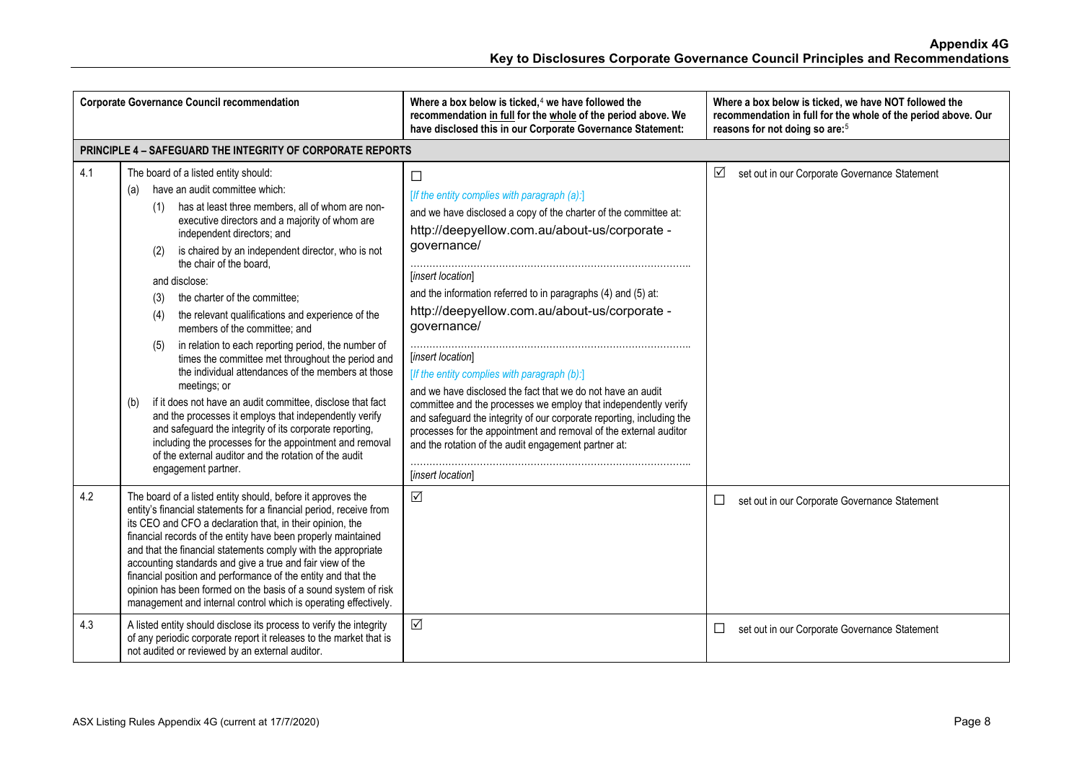|     | <b>Corporate Governance Council recommendation</b>                                                                                                                                                                                                                                                                                                                                                                                                                                                                                                                                                                                                                                                                                                                                                                                                                                                                                                                                                  | Where a box below is ticked, <sup>4</sup> we have followed the<br>recommendation in full for the whole of the period above. We<br>have disclosed this in our Corporate Governance Statement:                                                                                                                                                                                                                                                                                                                                                                                                                                                                                                                                                                                       | Where a box below is ticked, we have NOT followed the<br>recommendation in full for the whole of the period above. Our<br>reasons for not doing so are: <sup>5</sup> |
|-----|-----------------------------------------------------------------------------------------------------------------------------------------------------------------------------------------------------------------------------------------------------------------------------------------------------------------------------------------------------------------------------------------------------------------------------------------------------------------------------------------------------------------------------------------------------------------------------------------------------------------------------------------------------------------------------------------------------------------------------------------------------------------------------------------------------------------------------------------------------------------------------------------------------------------------------------------------------------------------------------------------------|------------------------------------------------------------------------------------------------------------------------------------------------------------------------------------------------------------------------------------------------------------------------------------------------------------------------------------------------------------------------------------------------------------------------------------------------------------------------------------------------------------------------------------------------------------------------------------------------------------------------------------------------------------------------------------------------------------------------------------------------------------------------------------|----------------------------------------------------------------------------------------------------------------------------------------------------------------------|
|     | <b>PRINCIPLE 4 - SAFEGUARD THE INTEGRITY OF CORPORATE REPORTS</b>                                                                                                                                                                                                                                                                                                                                                                                                                                                                                                                                                                                                                                                                                                                                                                                                                                                                                                                                   |                                                                                                                                                                                                                                                                                                                                                                                                                                                                                                                                                                                                                                                                                                                                                                                    |                                                                                                                                                                      |
| 4.1 | The board of a listed entity should:<br>have an audit committee which:<br>(a)<br>has at least three members, all of whom are non-<br>(1)<br>executive directors and a majority of whom are<br>independent directors; and<br>is chaired by an independent director, who is not<br>(2)<br>the chair of the board.<br>and disclose:<br>the charter of the committee;<br>(3)<br>the relevant qualifications and experience of the<br>(4)<br>members of the committee; and<br>in relation to each reporting period, the number of<br>(5)<br>times the committee met throughout the period and<br>the individual attendances of the members at those<br>meetings; or<br>if it does not have an audit committee, disclose that fact<br>(b)<br>and the processes it employs that independently verify<br>and safeguard the integrity of its corporate reporting,<br>including the processes for the appointment and removal<br>of the external auditor and the rotation of the audit<br>engagement partner. | $\Box$<br>[If the entity complies with paragraph (a):]<br>and we have disclosed a copy of the charter of the committee at:<br>http://deepyellow.com.au/about-us/corporate -<br>governance/<br>[insert location]<br>and the information referred to in paragraphs (4) and (5) at:<br>http://deepyellow.com.au/about-us/corporate -<br>governance/<br>[insert location]<br>[If the entity complies with paragraph (b):]<br>and we have disclosed the fact that we do not have an audit<br>committee and the processes we employ that independently verify<br>and safeguard the integrity of our corporate reporting, including the<br>processes for the appointment and removal of the external auditor<br>and the rotation of the audit engagement partner at:<br>[insert location] | ☑<br>set out in our Corporate Governance Statement                                                                                                                   |
| 4.2 | The board of a listed entity should, before it approves the<br>entity's financial statements for a financial period, receive from<br>its CEO and CFO a declaration that, in their opinion, the<br>financial records of the entity have been properly maintained<br>and that the financial statements comply with the appropriate<br>accounting standards and give a true and fair view of the<br>financial position and performance of the entity and that the<br>opinion has been formed on the basis of a sound system of risk<br>management and internal control which is operating effectively.                                                                                                                                                                                                                                                                                                                                                                                                 | $\Delta$                                                                                                                                                                                                                                                                                                                                                                                                                                                                                                                                                                                                                                                                                                                                                                           | set out in our Corporate Governance Statement<br>⊔                                                                                                                   |
| 4.3 | A listed entity should disclose its process to verify the integrity<br>of any periodic corporate report it releases to the market that is<br>not audited or reviewed by an external auditor.                                                                                                                                                                                                                                                                                                                                                                                                                                                                                                                                                                                                                                                                                                                                                                                                        | $\Delta$                                                                                                                                                                                                                                                                                                                                                                                                                                                                                                                                                                                                                                                                                                                                                                           | set out in our Corporate Governance Statement<br>⊔                                                                                                                   |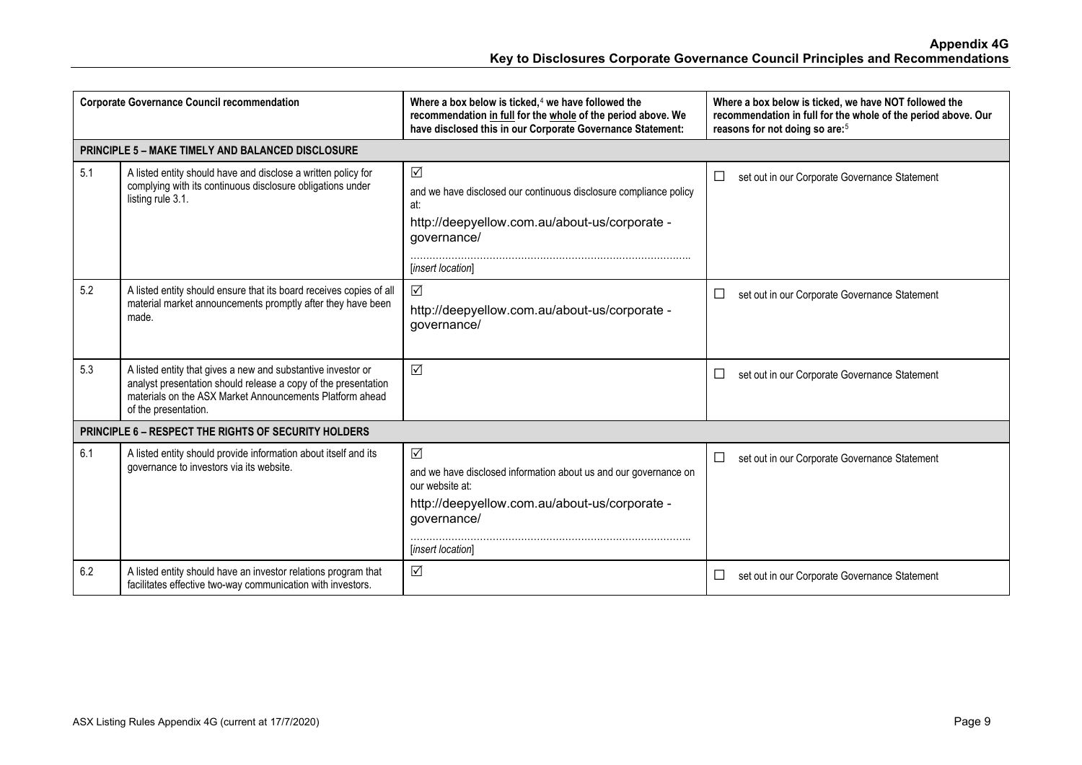|     | <b>Corporate Governance Council recommendation</b>                                                                                                                                                                 | Where a box below is ticked, $4$ we have followed the<br>recommendation in full for the whole of the period above. We<br>have disclosed this in our Corporate Governance Statement:   | Where a box below is ticked, we have NOT followed the<br>recommendation in full for the whole of the period above. Our<br>reasons for not doing so are: <sup>5</sup> |
|-----|--------------------------------------------------------------------------------------------------------------------------------------------------------------------------------------------------------------------|---------------------------------------------------------------------------------------------------------------------------------------------------------------------------------------|----------------------------------------------------------------------------------------------------------------------------------------------------------------------|
|     | PRINCIPLE 5 - MAKE TIMELY AND BALANCED DISCLOSURE                                                                                                                                                                  |                                                                                                                                                                                       |                                                                                                                                                                      |
| 5.1 | A listed entity should have and disclose a written policy for<br>complying with its continuous disclosure obligations under<br>listing rule 3.1.                                                                   | $\triangledown$<br>and we have disclosed our continuous disclosure compliance policy<br>at:<br>http://deepyellow.com.au/about-us/corporate -<br>governance/<br>[insert location]      | $\Box$<br>set out in our Corporate Governance Statement                                                                                                              |
| 5.2 | A listed entity should ensure that its board receives copies of all<br>material market announcements promptly after they have been<br>made.                                                                        | ☑<br>http://deepyellow.com.au/about-us/corporate -<br>governance/                                                                                                                     | □<br>set out in our Corporate Governance Statement                                                                                                                   |
| 5.3 | A listed entity that gives a new and substantive investor or<br>analyst presentation should release a copy of the presentation<br>materials on the ASX Market Announcements Platform ahead<br>of the presentation. | $\triangledown$                                                                                                                                                                       | $\Box$<br>set out in our Corporate Governance Statement                                                                                                              |
|     | PRINCIPLE 6 - RESPECT THE RIGHTS OF SECURITY HOLDERS                                                                                                                                                               |                                                                                                                                                                                       |                                                                                                                                                                      |
| 6.1 | A listed entity should provide information about itself and its<br>governance to investors via its website.                                                                                                        | $\sqrt{}$<br>and we have disclosed information about us and our governance on<br>our website at:<br>http://deepyellow.com.au/about-us/corporate -<br>governance/<br>[insert location] | $\Box$<br>set out in our Corporate Governance Statement                                                                                                              |
| 6.2 | A listed entity should have an investor relations program that<br>facilitates effective two-way communication with investors.                                                                                      | $\Delta$                                                                                                                                                                              | set out in our Corporate Governance Statement<br>$\Box$                                                                                                              |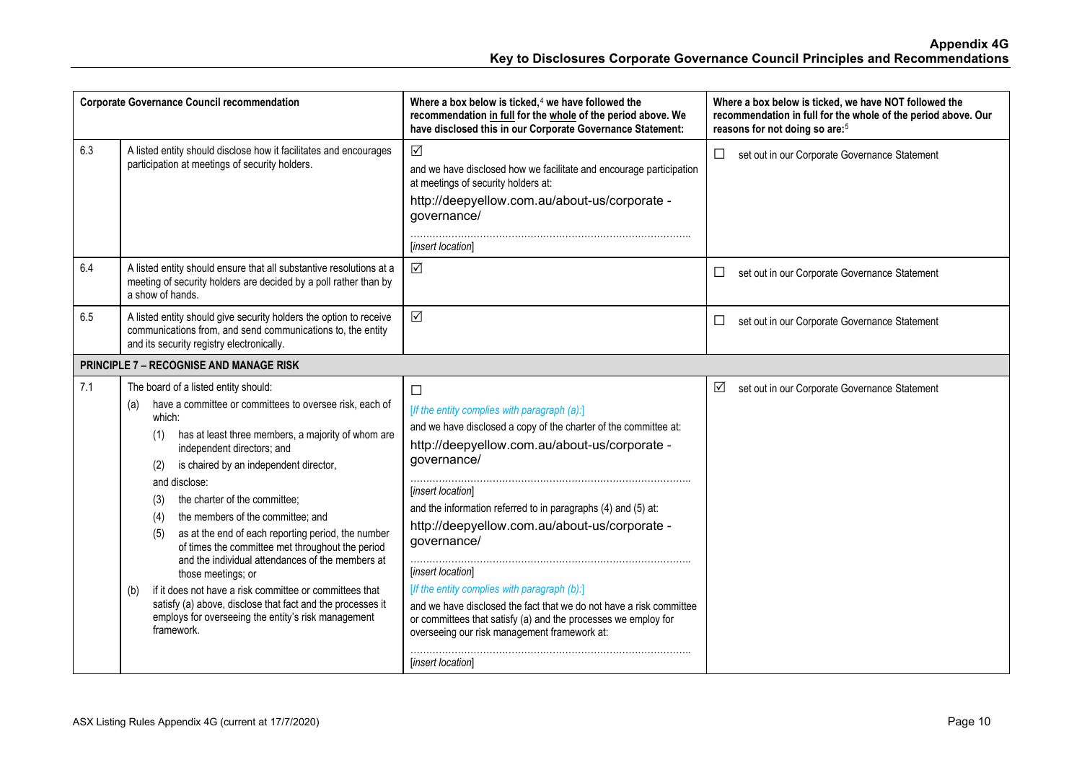| <b>Corporate Governance Council recommendation</b> |                                                                                                                                                                                                                                                                                                                                                                                                                                                                                                                                                                                                                                                                                                                                                            | Where a box below is ticked, $4$ we have followed the<br>recommendation in full for the whole of the period above. We<br>have disclosed this in our Corporate Governance Statement:                                                                                                                                                                                                                                                                                                                                                                                                                                                 | Where a box below is ticked, we have NOT followed the<br>recommendation in full for the whole of the period above. Our<br>reasons for not doing so are: <sup>5</sup> |
|----------------------------------------------------|------------------------------------------------------------------------------------------------------------------------------------------------------------------------------------------------------------------------------------------------------------------------------------------------------------------------------------------------------------------------------------------------------------------------------------------------------------------------------------------------------------------------------------------------------------------------------------------------------------------------------------------------------------------------------------------------------------------------------------------------------------|-------------------------------------------------------------------------------------------------------------------------------------------------------------------------------------------------------------------------------------------------------------------------------------------------------------------------------------------------------------------------------------------------------------------------------------------------------------------------------------------------------------------------------------------------------------------------------------------------------------------------------------|----------------------------------------------------------------------------------------------------------------------------------------------------------------------|
| 6.3                                                | A listed entity should disclose how it facilitates and encourages<br>participation at meetings of security holders.                                                                                                                                                                                                                                                                                                                                                                                                                                                                                                                                                                                                                                        | $\sqrt{}$<br>and we have disclosed how we facilitate and encourage participation<br>at meetings of security holders at:<br>http://deepyellow.com.au/about-us/corporate -<br>governance/<br>[insert location]                                                                                                                                                                                                                                                                                                                                                                                                                        | □<br>set out in our Corporate Governance Statement                                                                                                                   |
| 6.4                                                | A listed entity should ensure that all substantive resolutions at a<br>meeting of security holders are decided by a poll rather than by<br>a show of hands.                                                                                                                                                                                                                                                                                                                                                                                                                                                                                                                                                                                                | $\sqrt{}$                                                                                                                                                                                                                                                                                                                                                                                                                                                                                                                                                                                                                           | set out in our Corporate Governance Statement<br>⊔                                                                                                                   |
| 6.5                                                | A listed entity should give security holders the option to receive<br>communications from, and send communications to, the entity<br>and its security registry electronically.                                                                                                                                                                                                                                                                                                                                                                                                                                                                                                                                                                             | $\sqrt{}$                                                                                                                                                                                                                                                                                                                                                                                                                                                                                                                                                                                                                           | set out in our Corporate Governance Statement<br>ப                                                                                                                   |
|                                                    | <b>PRINCIPLE 7 - RECOGNISE AND MANAGE RISK</b>                                                                                                                                                                                                                                                                                                                                                                                                                                                                                                                                                                                                                                                                                                             |                                                                                                                                                                                                                                                                                                                                                                                                                                                                                                                                                                                                                                     |                                                                                                                                                                      |
| 7.1                                                | The board of a listed entity should:<br>have a committee or committees to oversee risk, each of<br>(a)<br>which:<br>has at least three members, a majority of whom are<br>independent directors; and<br>is chaired by an independent director,<br>(2)<br>and disclose:<br>the charter of the committee;<br>(3)<br>the members of the committee; and<br>(4)<br>as at the end of each reporting period, the number<br>(5)<br>of times the committee met throughout the period<br>and the individual attendances of the members at<br>those meetings; or<br>if it does not have a risk committee or committees that<br>(b)<br>satisfy (a) above, disclose that fact and the processes it<br>employs for overseeing the entity's risk management<br>framework. | $\Box$<br>[If the entity complies with paragraph (a):]<br>and we have disclosed a copy of the charter of the committee at:<br>http://deepyellow.com.au/about-us/corporate -<br>governance/<br>[insert location]<br>and the information referred to in paragraphs (4) and (5) at:<br>http://deepyellow.com.au/about-us/corporate -<br>governance/<br>[insert location]<br>[If the entity complies with paragraph (b):]<br>and we have disclosed the fact that we do not have a risk committee<br>or committees that satisfy (a) and the processes we employ for<br>overseeing our risk management framework at:<br>[insert location] | set out in our Corporate Governance Statement<br>⊻                                                                                                                   |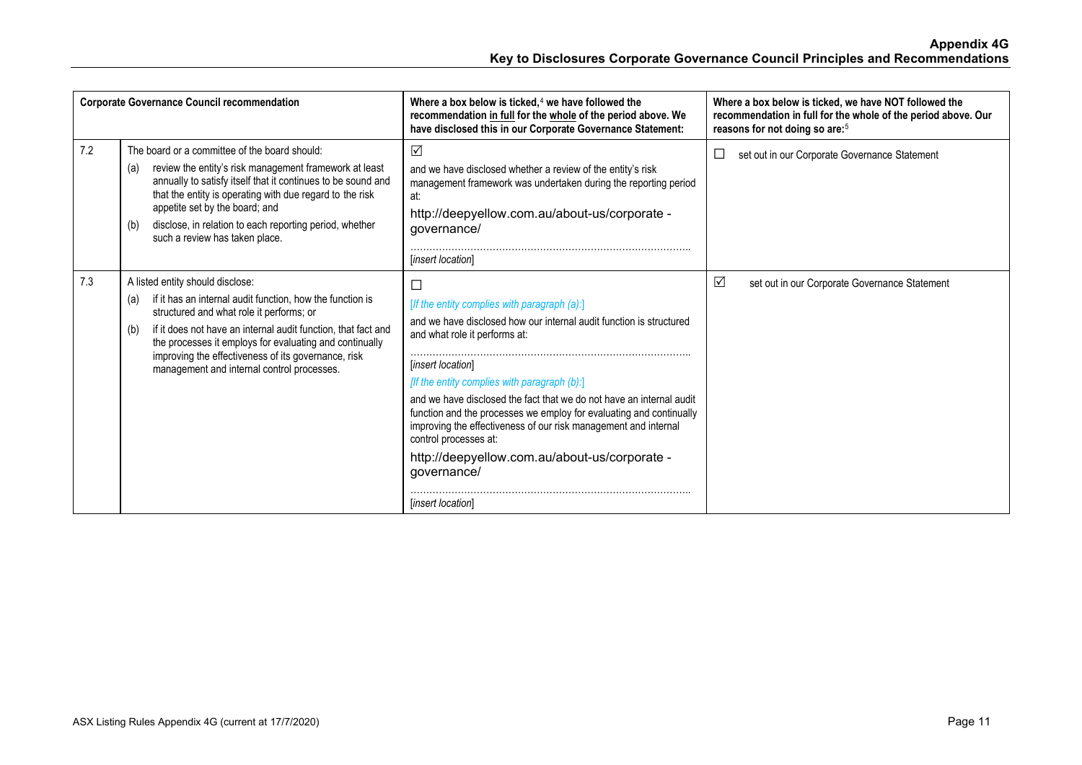| <b>Corporate Governance Council recommendation</b> |                                                                                                                                                                                                                                                                                                                                                                                          | Where a box below is ticked, $4$ we have followed the<br>recommendation in full for the whole of the period above. We<br>have disclosed this in our Corporate Governance Statement:                                                                                                                                                                                                                                                                                                                                                                                   | Where a box below is ticked, we have NOT followed the<br>recommendation in full for the whole of the period above. Our<br>reasons for not doing so are: <sup>5</sup> |
|----------------------------------------------------|------------------------------------------------------------------------------------------------------------------------------------------------------------------------------------------------------------------------------------------------------------------------------------------------------------------------------------------------------------------------------------------|-----------------------------------------------------------------------------------------------------------------------------------------------------------------------------------------------------------------------------------------------------------------------------------------------------------------------------------------------------------------------------------------------------------------------------------------------------------------------------------------------------------------------------------------------------------------------|----------------------------------------------------------------------------------------------------------------------------------------------------------------------|
| 7.2                                                | The board or a committee of the board should:<br>review the entity's risk management framework at least<br>(a)<br>annually to satisfy itself that it continues to be sound and<br>that the entity is operating with due regard to the risk<br>appetite set by the board; and<br>disclose, in relation to each reporting period, whether<br>(b)<br>such a review has taken place.         | ☑<br>and we have disclosed whether a review of the entity's risk<br>management framework was undertaken during the reporting period<br>at:<br>http://deepyellow.com.au/about-us/corporate -<br>governance/<br>[insert location]                                                                                                                                                                                                                                                                                                                                       | set out in our Corporate Governance Statement<br>⊔                                                                                                                   |
| 7.3                                                | A listed entity should disclose:<br>if it has an internal audit function, how the function is<br>(a)<br>structured and what role it performs; or<br>if it does not have an internal audit function, that fact and<br>(b)<br>the processes it employs for evaluating and continually<br>improving the effectiveness of its governance, risk<br>management and internal control processes. | $\Box$<br>[If the entity complies with paragraph $(a)$ :]<br>and we have disclosed how our internal audit function is structured<br>and what role it performs at:<br>[insert location]<br>[If the entity complies with paragraph (b):]<br>and we have disclosed the fact that we do not have an internal audit<br>function and the processes we employ for evaluating and continually<br>improving the effectiveness of our risk management and internal<br>control processes at:<br>http://deepyellow.com.au/about-us/corporate -<br>governance/<br>linsert location | $\triangledown$<br>set out in our Corporate Governance Statement                                                                                                     |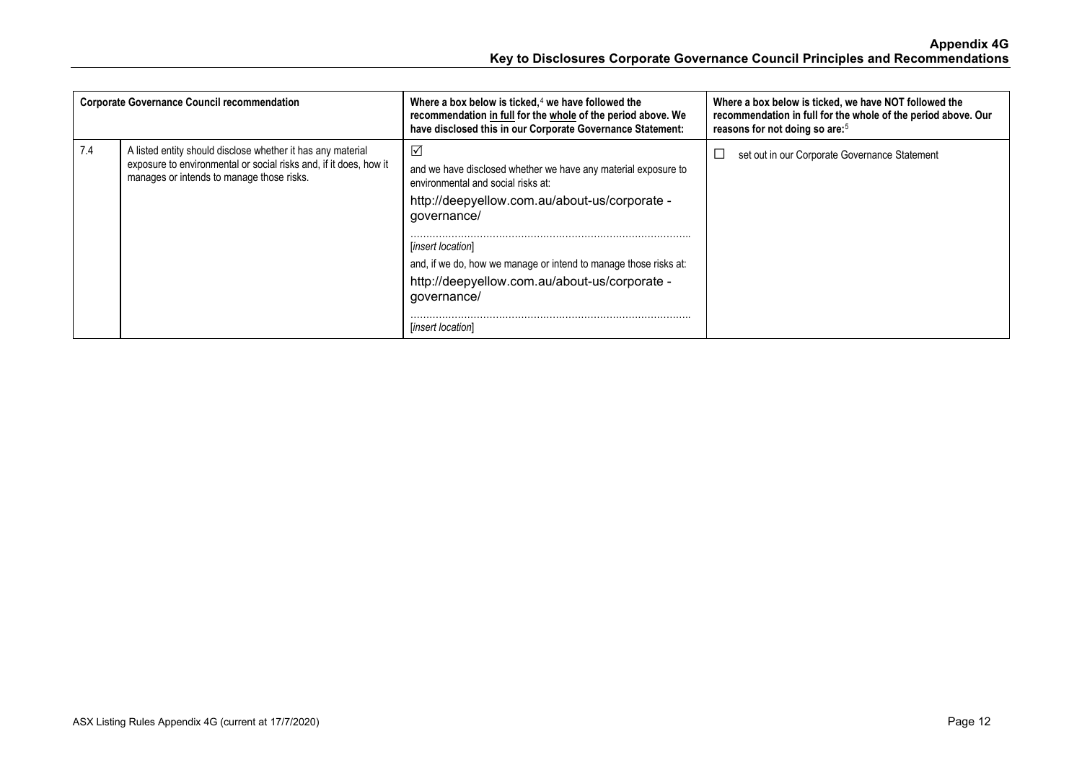| <b>Corporate Governance Council recommendation</b> |                                                                                                                                                                               | Where a box below is ticked, $4$ we have followed the<br>recommendation in full for the whole of the period above. We<br>have disclosed this in our Corporate Governance Statement: | Where a box below is ticked, we have NOT followed the<br>recommendation in full for the whole of the period above. Our<br>reasons for not doing so are: <sup>5</sup> |
|----------------------------------------------------|-------------------------------------------------------------------------------------------------------------------------------------------------------------------------------|-------------------------------------------------------------------------------------------------------------------------------------------------------------------------------------|----------------------------------------------------------------------------------------------------------------------------------------------------------------------|
| 7.4                                                | A listed entity should disclose whether it has any material<br>exposure to environmental or social risks and, if it does, how it<br>manages or intends to manage those risks. | $\sqrt{ }$<br>and we have disclosed whether we have any material exposure to<br>environmental and social risks at:<br>http://deepyellow.com.au/about-us/corporate -<br>qovernance/  | set out in our Corporate Governance Statement                                                                                                                        |
|                                                    |                                                                                                                                                                               | linsert location<br>and, if we do, how we manage or intend to manage those risks at:<br>http://deepyellow.com.au/about-us/corporate -<br>governance/<br>insert location             |                                                                                                                                                                      |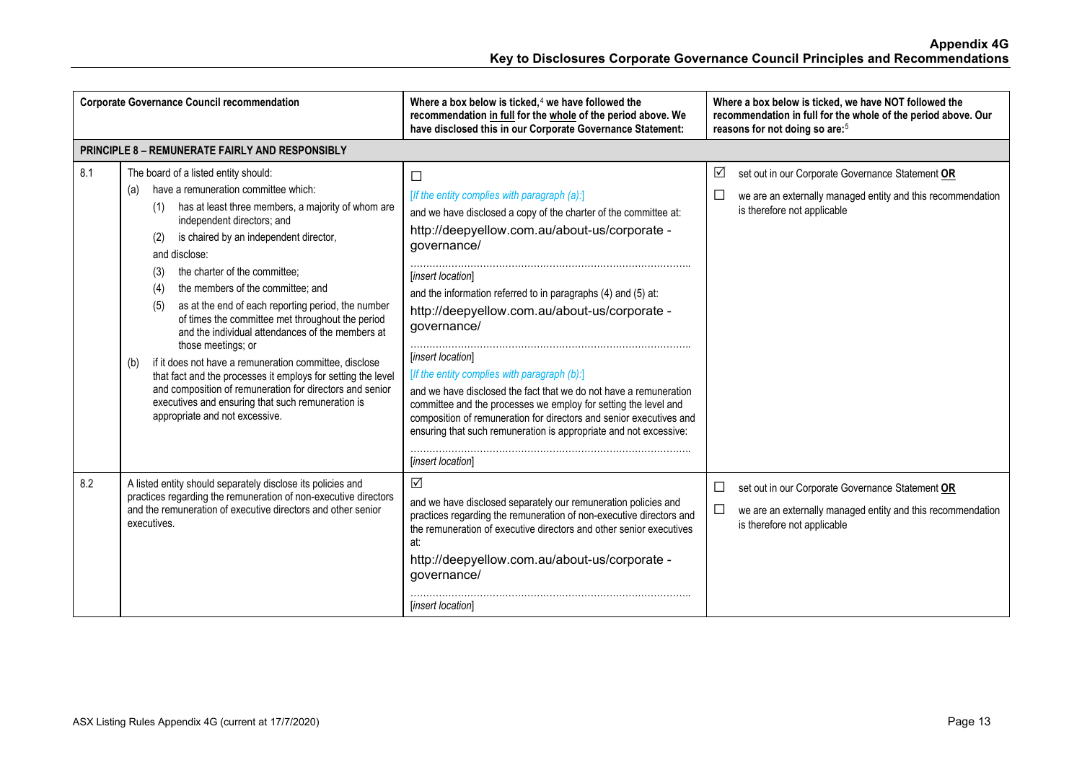| <b>Corporate Governance Council recommendation</b> |                                                                                                                                                                                                                                                                                                                                                                                                                                                                                                                                                                                                                                                                                                                                                                                                                     | Where a box below is ticked, $4$ we have followed the<br>recommendation in full for the whole of the period above. We<br>have disclosed this in our Corporate Governance Statement:                                                                                                                                                                                                                                                                                                                                                                                                                                                                                                                                                   | Where a box below is ticked, we have NOT followed the<br>recommendation in full for the whole of the period above. Our<br>reasons for not doing so are: <sup>5</sup> |
|----------------------------------------------------|---------------------------------------------------------------------------------------------------------------------------------------------------------------------------------------------------------------------------------------------------------------------------------------------------------------------------------------------------------------------------------------------------------------------------------------------------------------------------------------------------------------------------------------------------------------------------------------------------------------------------------------------------------------------------------------------------------------------------------------------------------------------------------------------------------------------|---------------------------------------------------------------------------------------------------------------------------------------------------------------------------------------------------------------------------------------------------------------------------------------------------------------------------------------------------------------------------------------------------------------------------------------------------------------------------------------------------------------------------------------------------------------------------------------------------------------------------------------------------------------------------------------------------------------------------------------|----------------------------------------------------------------------------------------------------------------------------------------------------------------------|
|                                                    | PRINCIPLE 8 - REMUNERATE FAIRLY AND RESPONSIBLY                                                                                                                                                                                                                                                                                                                                                                                                                                                                                                                                                                                                                                                                                                                                                                     |                                                                                                                                                                                                                                                                                                                                                                                                                                                                                                                                                                                                                                                                                                                                       |                                                                                                                                                                      |
| 8.1                                                | The board of a listed entity should:<br>have a remuneration committee which:<br>(a)<br>has at least three members, a majority of whom are<br>(1)<br>independent directors; and<br>is chaired by an independent director,<br>(2)<br>and disclose:<br>the charter of the committee;<br>(3)<br>the members of the committee; and<br>(4)<br>as at the end of each reporting period, the number<br>(5)<br>of times the committee met throughout the period<br>and the individual attendances of the members at<br>those meetings; or<br>if it does not have a remuneration committee, disclose<br>(b)<br>that fact and the processes it employs for setting the level<br>and composition of remuneration for directors and senior<br>executives and ensuring that such remuneration is<br>appropriate and not excessive. | $\Box$<br>[If the entity complies with paragraph (a):]<br>and we have disclosed a copy of the charter of the committee at:<br>http://deepyellow.com.au/about-us/corporate -<br>governance/<br><b>linsert locationl</b><br>and the information referred to in paragraphs (4) and (5) at:<br>http://deepyellow.com.au/about-us/corporate -<br>governance/<br>[insert location]<br>[If the entity complies with paragraph (b):]<br>and we have disclosed the fact that we do not have a remuneration<br>committee and the processes we employ for setting the level and<br>composition of remuneration for directors and senior executives and<br>ensuring that such remuneration is appropriate and not excessive:<br>[insert location] | ☑<br>set out in our Corporate Governance Statement OR<br>$\Box$<br>we are an externally managed entity and this recommendation<br>is therefore not applicable        |
| 8.2                                                | A listed entity should separately disclose its policies and<br>practices regarding the remuneration of non-executive directors<br>and the remuneration of executive directors and other senior<br>executives.                                                                                                                                                                                                                                                                                                                                                                                                                                                                                                                                                                                                       | $\triangledown$<br>and we have disclosed separately our remuneration policies and<br>practices regarding the remuneration of non-executive directors and<br>the remuneration of executive directors and other senior executives<br>at:<br>http://deepyellow.com.au/about-us/corporate -<br>governance/<br>[insert location]                                                                                                                                                                                                                                                                                                                                                                                                           | $\Box$<br>set out in our Corporate Governance Statement OR<br>$\Box$<br>we are an externally managed entity and this recommendation<br>is therefore not applicable   |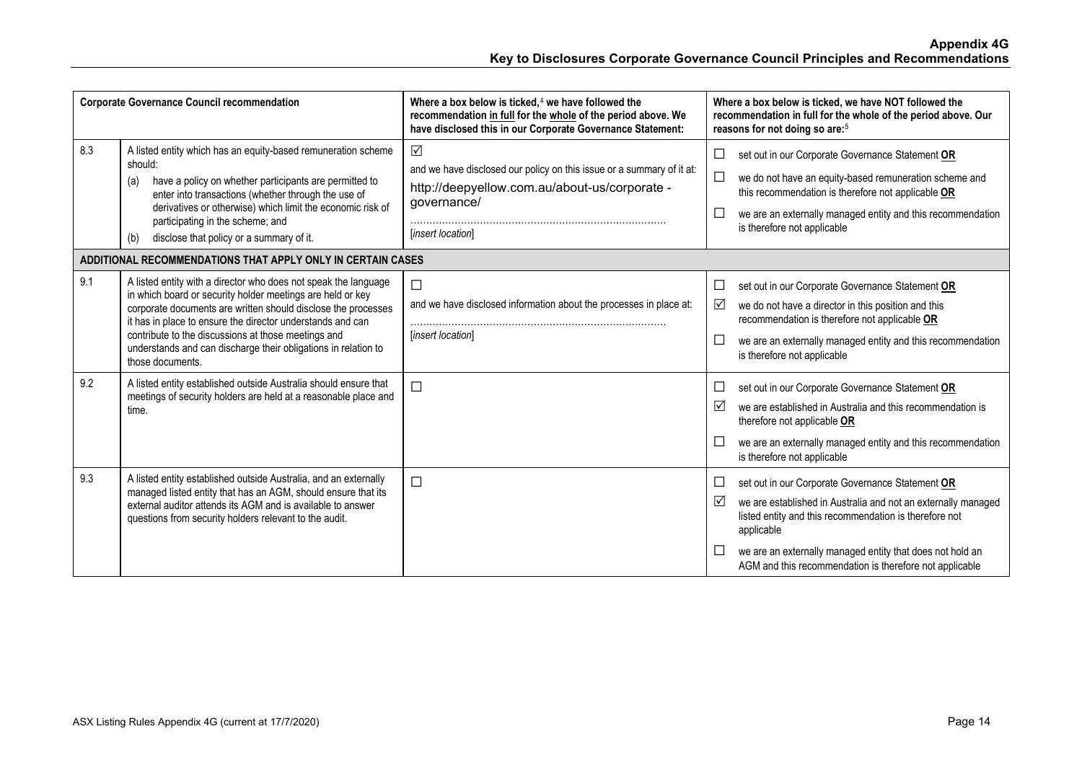| <b>Corporate Governance Council recommendation</b> |                                                                                                                                                                                                                                                                                                                                                                                                           | Where a box below is ticked, $4$ we have followed the<br>recommendation in full for the whole of the period above. We<br>have disclosed this in our Corporate Governance Statement: | Where a box below is ticked, we have NOT followed the<br>recommendation in full for the whole of the period above. Our<br>reasons for not doing so are: <sup>5</sup>                                                                                                                                                             |  |  |
|----------------------------------------------------|-----------------------------------------------------------------------------------------------------------------------------------------------------------------------------------------------------------------------------------------------------------------------------------------------------------------------------------------------------------------------------------------------------------|-------------------------------------------------------------------------------------------------------------------------------------------------------------------------------------|----------------------------------------------------------------------------------------------------------------------------------------------------------------------------------------------------------------------------------------------------------------------------------------------------------------------------------|--|--|
| 8.3                                                | A listed entity which has an equity-based remuneration scheme<br>should:<br>have a policy on whether participants are permitted to<br>(a)<br>enter into transactions (whether through the use of<br>derivatives or otherwise) which limit the economic risk of<br>participating in the scheme; and<br>disclose that policy or a summary of it.<br>(b)                                                     | $\triangledown$<br>and we have disclosed our policy on this issue or a summary of it at:<br>http://deepyellow.com.au/about-us/corporate -<br>governance/<br>[insert location]       | □<br>set out in our Corporate Governance Statement OR<br>$\Box$<br>we do not have an equity-based remuneration scheme and<br>this recommendation is therefore not applicable OR<br>$\Box$<br>we are an externally managed entity and this recommendation<br>is therefore not applicable                                          |  |  |
|                                                    | ADDITIONAL RECOMMENDATIONS THAT APPLY ONLY IN CERTAIN CASES                                                                                                                                                                                                                                                                                                                                               |                                                                                                                                                                                     |                                                                                                                                                                                                                                                                                                                                  |  |  |
| 9.1                                                | A listed entity with a director who does not speak the language<br>in which board or security holder meetings are held or key<br>corporate documents are written should disclose the processes<br>it has in place to ensure the director understands and can<br>contribute to the discussions at those meetings and<br>understands and can discharge their obligations in relation to<br>those documents. | $\Box$<br>and we have disclosed information about the processes in place at:<br>[insert location]                                                                                   | $\Box$<br>set out in our Corporate Governance Statement OR<br>$\sqrt{}$<br>we do not have a director in this position and this<br>recommendation is therefore not applicable OR<br>$\Box$<br>we are an externally managed entity and this recommendation<br>is therefore not applicable                                          |  |  |
| 9.2                                                | A listed entity established outside Australia should ensure that<br>meetings of security holders are held at a reasonable place and<br>time.                                                                                                                                                                                                                                                              | $\Box$                                                                                                                                                                              | □<br>set out in our Corporate Governance Statement OR<br>⊠<br>we are established in Australia and this recommendation is<br>therefore not applicable OR<br>we are an externally managed entity and this recommendation<br>is therefore not applicable                                                                            |  |  |
| 9.3                                                | A listed entity established outside Australia, and an externally<br>managed listed entity that has an AGM, should ensure that its<br>external auditor attends its AGM and is available to answer<br>questions from security holders relevant to the audit.                                                                                                                                                | $\Box$                                                                                                                                                                              | $\Box$<br>set out in our Corporate Governance Statement OR<br>☑<br>we are established in Australia and not an externally managed<br>listed entity and this recommendation is therefore not<br>applicable<br>we are an externally managed entity that does not hold an<br>AGM and this recommendation is therefore not applicable |  |  |